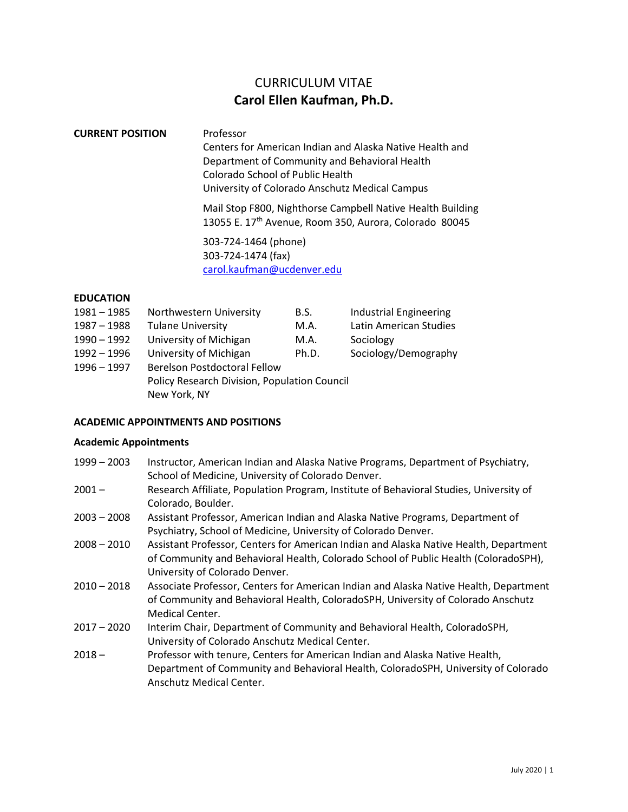# CURRICULUM VITAE **Carol Ellen Kaufman, Ph.D.**

# **CURRENT POSITION** Professor Centers for American Indian and Alaska Native Health and Department of Community and Behavioral Health Colorado School of Public Health

University of Colorado Anschutz Medical Campus

Mail Stop F800, Nighthorse Campbell Native Health Building 13055 E. 17<sup>th</sup> Avenue, Room 350, Aurora, Colorado 80045

303-724-1464 (phone) 303-724-1474 (fax) [carol.kaufman@ucdenver.edu](mailto:carol.kaufman@ucdenver.edu)

# **EDUCATION**

| $1981 - 1985$ | Northwestern University                      | B.S.  | <b>Industrial Engineering</b> |
|---------------|----------------------------------------------|-------|-------------------------------|
| 1987 - 1988   | <b>Tulane University</b>                     | M.A.  | Latin American Studies        |
| $1990 - 1992$ | University of Michigan                       | M.A.  | Sociology                     |
| 1992 - 1996   | University of Michigan                       | Ph.D. | Sociology/Demography          |
| $1996 - 1997$ | <b>Berelson Postdoctoral Fellow</b>          |       |                               |
|               | Policy Research Division, Population Council |       |                               |
|               | New York, NY                                 |       |                               |

# **ACADEMIC APPOINTMENTS AND POSITIONS**

#### **Academic Appointments**

- 1999 2003 Instructor, American Indian and Alaska Native Programs, Department of Psychiatry, School of Medicine, University of Colorado Denver.
- 2001 Research Affiliate, Population Program, Institute of Behavioral Studies, University of Colorado, Boulder.
- 2003 2008 Assistant Professor, American Indian and Alaska Native Programs, Department of Psychiatry, School of Medicine, University of Colorado Denver.
- 2008 2010 Assistant Professor, Centers for American Indian and Alaska Native Health, Department of Community and Behavioral Health, Colorado School of Public Health (ColoradoSPH), University of Colorado Denver.
- 2010 2018 Associate Professor, Centers for American Indian and Alaska Native Health, Department of Community and Behavioral Health, ColoradoSPH, University of Colorado Anschutz Medical Center.
- 2017 2020 Interim Chair, Department of Community and Behavioral Health, ColoradoSPH, University of Colorado Anschutz Medical Center.
- 2018 Professor with tenure, Centers for American Indian and Alaska Native Health, Department of Community and Behavioral Health, ColoradoSPH, University of Colorado Anschutz Medical Center.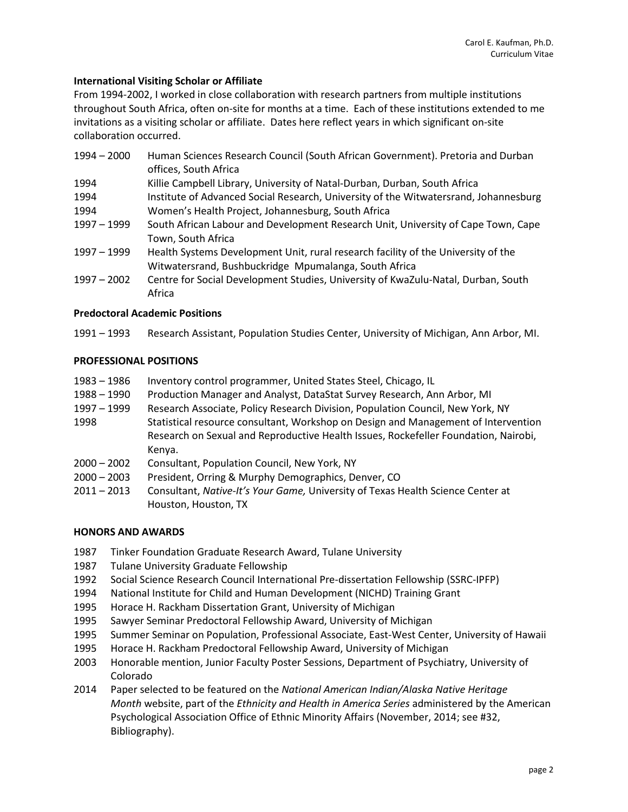# **International Visiting Scholar or Affiliate**

From 1994-2002, I worked in close collaboration with research partners from multiple institutions throughout South Africa, often on-site for months at a time. Each of these institutions extended to me invitations as a visiting scholar or affiliate. Dates here reflect years in which significant on-site collaboration occurred.

| $1994 - 2000$ | Human Sciences Research Council (South African Government). Pretoria and Durban<br>offices, South Africa |
|---------------|----------------------------------------------------------------------------------------------------------|
| 1994          | Killie Campbell Library, University of Natal-Durban, Durban, South Africa                                |
| 1994          | Institute of Advanced Social Research, University of the Witwatersrand, Johannesburg                     |
| 1994          | Women's Health Project, Johannesburg, South Africa                                                       |
| $1997 - 1999$ | South African Labour and Development Research Unit, University of Cape Town, Cape                        |
|               | Town, South Africa                                                                                       |
| $1997 - 1999$ | Health Systems Development Unit, rural research facility of the University of the                        |
|               | Witwatersrand, Bushbuckridge Mpumalanga, South Africa                                                    |
| $1997 - 2002$ | Centre for Social Development Studies, University of KwaZulu-Natal, Durban, South                        |
|               | Africa                                                                                                   |

# **Predoctoral Academic Positions**

1991 – 1993 Research Assistant, Population Studies Center, University of Michigan, Ann Arbor, MI.

# **PROFESSIONAL POSITIONS**

| 1983 – 1986   | Inventory control programmer, United States Steel, Chicago, IL                      |
|---------------|-------------------------------------------------------------------------------------|
| 1988 - 1990   | Production Manager and Analyst, DataStat Survey Research, Ann Arbor, MI             |
| 1997 - 1999   | Research Associate, Policy Research Division, Population Council, New York, NY      |
| 1998          | Statistical resource consultant, Workshop on Design and Management of Intervention  |
|               | Research on Sexual and Reproductive Health Issues, Rockefeller Foundation, Nairobi, |
|               | Kenya.                                                                              |
| $2000 - 2002$ | Consultant, Population Council, New York, NY                                        |
| $2000 - 2003$ | President, Orring & Murphy Demographics, Denver, CO                                 |
| $2011 - 2012$ | Consultant, Native-It's Vour Game, University of Texas Health Science Center at     |

2011 – 2013 Consultant, *Native-It's Your Game,* University of Texas Health Science Center at Houston, Houston, TX

### **HONORS AND AWARDS**

- 1987 Tinker Foundation Graduate Research Award, Tulane University
- 1987 Tulane University Graduate Fellowship
- 1992 Social Science Research Council International Pre-dissertation Fellowship (SSRC-IPFP)
- 1994 National Institute for Child and Human Development (NICHD) Training Grant
- 1995 Horace H. Rackham Dissertation Grant, University of Michigan
- 1995 Sawyer Seminar Predoctoral Fellowship Award, University of Michigan
- 1995 Summer Seminar on Population, Professional Associate, East-West Center, University of Hawaii
- 1995 Horace H. Rackham Predoctoral Fellowship Award, University of Michigan
- 2003 Honorable mention, Junior Faculty Poster Sessions, Department of Psychiatry, University of Colorado
- 2014 Paper selected to be featured on the *National American Indian/Alaska Native Heritage Month* website, part of the *Ethnicity and Health in America Series* administered by the American Psychological Association Office of Ethnic Minority Affairs (November, 2014; see #32, Bibliography).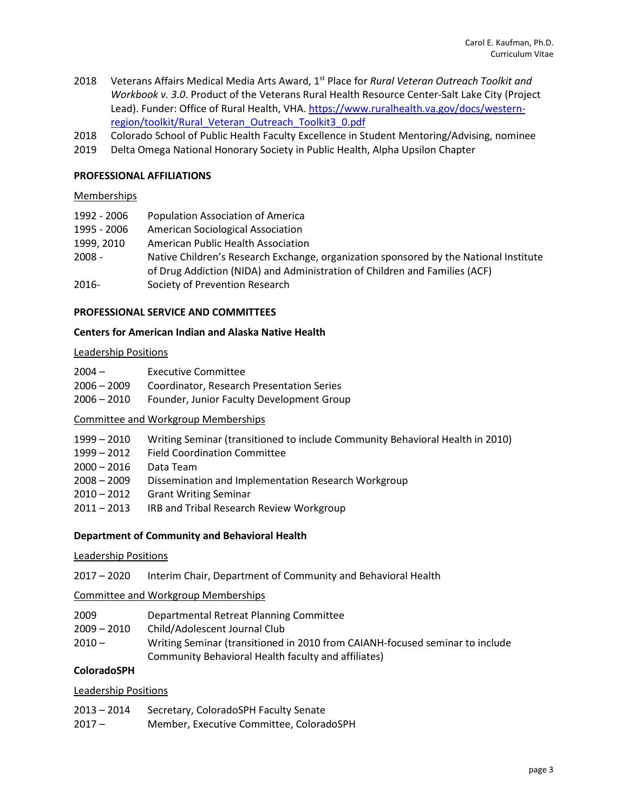- 2018 Veterans Affairs Medical Media Arts Award, 1<sup>st</sup> Place for *Rural Veteran Outreach Toolkit and Workbook v. 3.0*. Product of the Veterans Rural Health Resource Center-Salt Lake City (Project Lead). Funder: Office of Rural Health, VHA. [https://www.ruralhealth.va.gov/docs/western](https://www.ruralhealth.va.gov/docs/western-region/toolkit/Rural_Veteran_Outreach_Toolkit3_0.pdf)[region/toolkit/Rural\\_Veteran\\_Outreach\\_Toolkit3\\_0.pdf](https://www.ruralhealth.va.gov/docs/western-region/toolkit/Rural_Veteran_Outreach_Toolkit3_0.pdf)
- 2018 Colorado School of Public Health Faculty Excellence in Student Mentoring/Advising, nominee
- 2019 Delta Omega National Honorary Society in Public Health, Alpha Upsilon Chapter

### **PROFESSIONAL AFFILIATIONS**

#### **Memberships**

| 1992 - 2006 | <b>Population Association of America</b>                                              |
|-------------|---------------------------------------------------------------------------------------|
| 1995 - 2006 | <b>American Sociological Association</b>                                              |
| 1999, 2010  | American Public Health Association                                                    |
| $2008 -$    | Native Children's Research Exchange, organization sponsored by the National Institute |
|             | of Drug Addiction (NIDA) and Administration of Children and Families (ACF)            |
| 2016-       | Society of Prevention Research                                                        |

#### **PROFESSIONAL SERVICE AND COMMITTEES**

#### **Centers for American Indian and Alaska Native Health**

#### Leadership Positions

| $2004 -$ | Executive Committee |
|----------|---------------------|
|----------|---------------------|

- 2006 2009 Coordinator, Research Presentation Series
- 2006 2010 Founder, Junior Faculty Development Group

#### Committee and Workgroup Memberships

- 1999 2010 Writing Seminar (transitioned to include Community Behavioral Health in 2010)
- 1999 2012 Field Coordination Committee
- 2000 2016 Data Team
- 2008 2009 Dissemination and Implementation Research Workgroup
- 2010 2012 Grant Writing Seminar
- 2011 2013 IRB and Tribal Research Review Workgroup

#### **Department of Community and Behavioral Health**

#### Leadership Positions

2017 – 2020 Interim Chair, Department of Community and Behavioral Health

#### Committee and Workgroup Memberships

- 2009 Departmental Retreat Planning Committee
- 2009 2010 Child/Adolescent Journal Club
- 2010 Writing Seminar (transitioned in 2010 from CAIANH-focused seminar to include Community Behavioral Health faculty and affiliates)

# **ColoradoSPH**

#### Leadership Positions

| $2013 - 2014$ | Secretary, ColoradoSPH Faculty Senate |  |
|---------------|---------------------------------------|--|
|---------------|---------------------------------------|--|

2017 – Member, Executive Committee, ColoradoSPH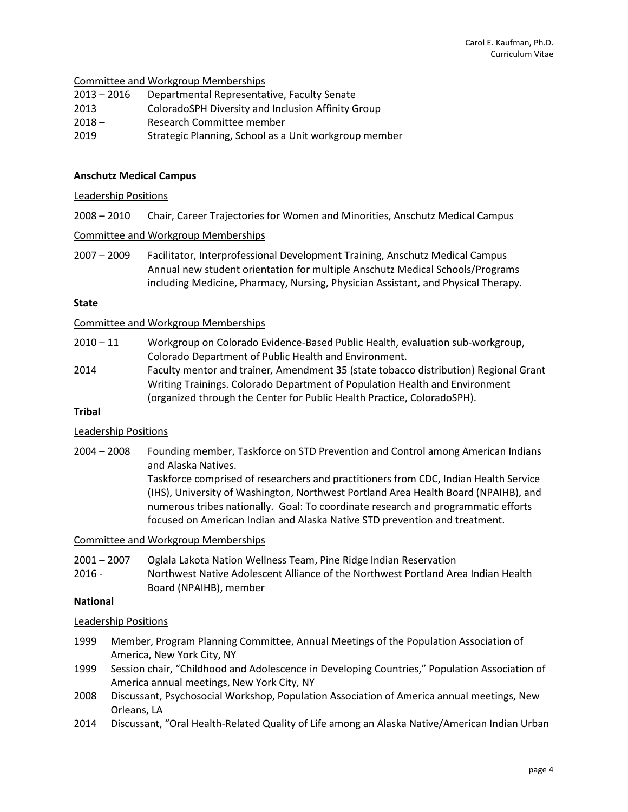Committee and Workgroup Memberships

| 2013 – 2016 | Departmental Representative, Faculty Senate |
|-------------|---------------------------------------------|
|-------------|---------------------------------------------|

- 2013 ColoradoSPH Diversity and Inclusion Affinity Group
- 2018 Research Committee member
- 2019 Strategic Planning, School as a Unit workgroup member

### **Anschutz Medical Campus**

### Leadership Positions

2008 – 2010 Chair, Career Trajectories for Women and Minorities, Anschutz Medical Campus

### Committee and Workgroup Memberships

2007 – 2009 Facilitator, Interprofessional Development Training, Anschutz Medical Campus Annual new student orientation for multiple Anschutz Medical Schools/Programs including Medicine, Pharmacy, Nursing, Physician Assistant, and Physical Therapy.

#### **State**

### Committee and Workgroup Memberships

- 2010 11 Workgroup on Colorado Evidence-Based Public Health, evaluation sub-workgroup, Colorado Department of Public Health and Environment.
- 2014 Faculty mentor and trainer*,* Amendment 35 (state tobacco distribution) Regional Grant Writing Trainings. Colorado Department of Population Health and Environment (organized through the Center for Public Health Practice, ColoradoSPH).

# **Tribal**

# Leadership Positions

2004 – 2008 Founding member, Taskforce on STD Prevention and Control among American Indians and Alaska Natives.

> Taskforce comprised of researchers and practitioners from CDC, Indian Health Service (IHS), University of Washington, Northwest Portland Area Health Board (NPAIHB), and numerous tribes nationally. Goal: To coordinate research and programmatic efforts focused on American Indian and Alaska Native STD prevention and treatment.

### Committee and Workgroup Memberships

- 2001 2007 Oglala Lakota Nation Wellness Team, Pine Ridge Indian Reservation
- 2016 Northwest Native Adolescent Alliance of the Northwest Portland Area Indian Health Board (NPAIHB), member

# **National**

# Leadership Positions

- 1999 Member, Program Planning Committee, Annual Meetings of the Population Association of America, New York City, NY
- 1999 Session chair, "Childhood and Adolescence in Developing Countries," Population Association of America annual meetings, New York City, NY
- 2008 Discussant, Psychosocial Workshop, Population Association of America annual meetings, New Orleans, LA
- 2014 Discussant, "Oral Health-Related Quality of Life among an Alaska Native/American Indian Urban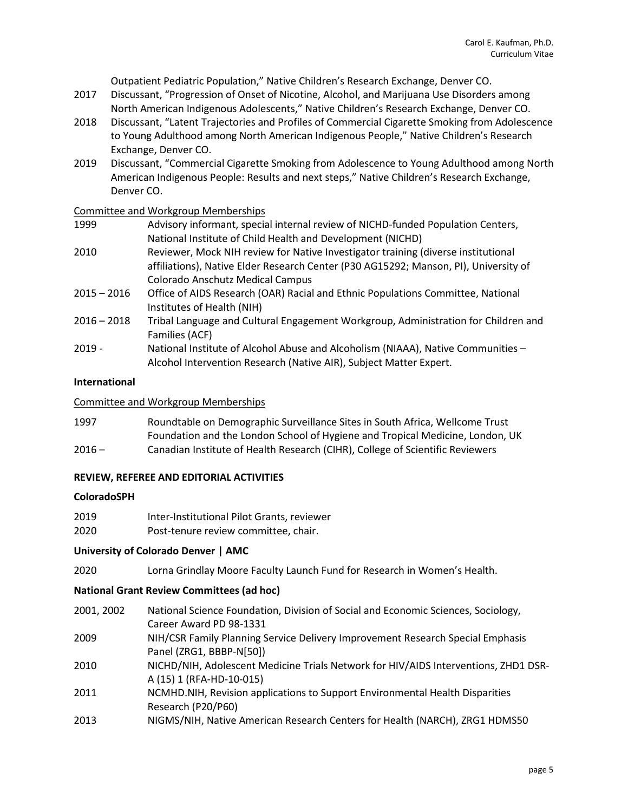Outpatient Pediatric Population," Native Children's Research Exchange, Denver CO.

- 2017 Discussant, "Progression of Onset of Nicotine, Alcohol, and Marijuana Use Disorders among North American Indigenous Adolescents," Native Children's Research Exchange, Denver CO.
- 2018 Discussant, "Latent Trajectories and Profiles of Commercial Cigarette Smoking from Adolescence to Young Adulthood among North American Indigenous People," Native Children's Research Exchange, Denver CO.
- 2019 Discussant, "Commercial Cigarette Smoking from Adolescence to Young Adulthood among North American Indigenous People: Results and next steps," Native Children's Research Exchange, Denver CO.

# Committee and Workgroup Memberships

- 1999 Advisory informant, special internal review of NICHD-funded Population Centers, National Institute of Child Health and Development (NICHD)
- 2010 Reviewer, Mock NIH review for Native Investigator training (diverse institutional affiliations), Native Elder Research Center (P30 AG15292; Manson, PI), University of Colorado Anschutz Medical Campus
- 2015 2016 Office of AIDS Research (OAR) Racial and Ethnic Populations Committee, National Institutes of Health (NIH)
- 2016 2018 Tribal Language and Cultural Engagement Workgroup, Administration for Children and Families (ACF)
- 2019 National Institute of Alcohol Abuse and Alcoholism (NIAAA), Native Communities Alcohol Intervention Research (Native AIR), Subject Matter Expert.

### **International**

### Committee and Workgroup Memberships

1997 Roundtable on Demographic Surveillance Sites in South Africa, Wellcome Trust Foundation and the London School of Hygiene and Tropical Medicine, London, UK 2016 – Canadian Institute of Health Research (CIHR), College of Scientific Reviewers

# **REVIEW, REFEREE AND EDITORIAL ACTIVITIES**

#### **ColoradoSPH**

- 2019 Inter-Institutional Pilot Grants, reviewer
- 2020 Post-tenure review committee, chair.

# **University of Colorado Denver | AMC**

2020 Lorna Grindlay Moore Faculty Launch Fund for Research in Women's Health.

#### **National Grant Review Committees (ad hoc)**

- 2001, 2002 National Science Foundation, Division of Social and Economic Sciences, Sociology, Career Award PD 98-1331
- 2009 NIH/CSR Family Planning Service Delivery Improvement Research Special Emphasis Panel (ZRG1, BBBP-N[50])
- 2010 NICHD/NIH, Adolescent Medicine Trials Network for HIV/AIDS Interventions, ZHD1 DSR-A (15) 1 (RFA-HD-10-015)
- 2011 NCMHD.NIH, Revision applications to Support Environmental Health Disparities Research (P20/P60)
- 2013 NIGMS/NIH, Native American Research Centers for Health (NARCH), ZRG1 HDMS50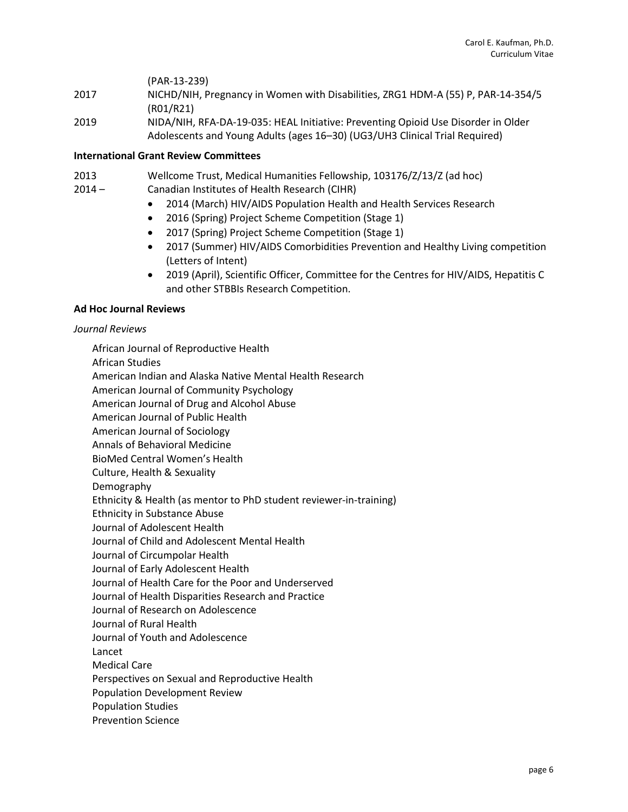(PAR-13-239)

- 2017 NICHD/NIH, Pregnancy in Women with Disabilities, ZRG1 HDM-A (55) P, PAR-14-354/5 (R01/R21)
- 2019 NIDA/NIH, RFA-DA-19-035: HEAL Initiative: Preventing Opioid Use Disorder in Older Adolescents and Young Adults (ages 16–30) (UG3/UH3 Clinical Trial Required)

### **International Grant Review Committees**

- 2013 Wellcome Trust, Medical Humanities Fellowship, 103176/Z/13/Z (ad hoc)
- 2014 Canadian Institutes of Health Research (CIHR)
	- 2014 (March) HIV/AIDS Population Health and Health Services Research
	- 2016 (Spring) Project Scheme Competition (Stage 1)
	- 2017 (Spring) Project Scheme Competition (Stage 1)
	- 2017 (Summer) HIV/AIDS Comorbidities Prevention and Healthy Living competition (Letters of Intent)
	- 2019 (April), Scientific Officer, Committee for the Centres for HIV/AIDS, Hepatitis C and other STBBIs Research Competition.

### **Ad Hoc Journal Reviews**

#### *Journal Reviews*

African Journal of Reproductive Health African Studies American Indian and Alaska Native Mental Health Research American Journal of Community Psychology American Journal of Drug and Alcohol Abuse American Journal of Public Health American Journal of Sociology Annals of Behavioral Medicine BioMed Central Women's Health Culture, Health & Sexuality Demography Ethnicity & Health (as mentor to PhD student reviewer-in-training) Ethnicity in Substance Abuse Journal of Adolescent Health Journal of Child and Adolescent Mental Health Journal of Circumpolar Health Journal of Early Adolescent Health Journal of Health Care for the Poor and Underserved Journal of Health Disparities Research and Practice Journal of Research on Adolescence Journal of Rural Health Journal of Youth and Adolescence Lancet Medical Care Perspectives on Sexual and Reproductive Health Population Development Review Population Studies Prevention Science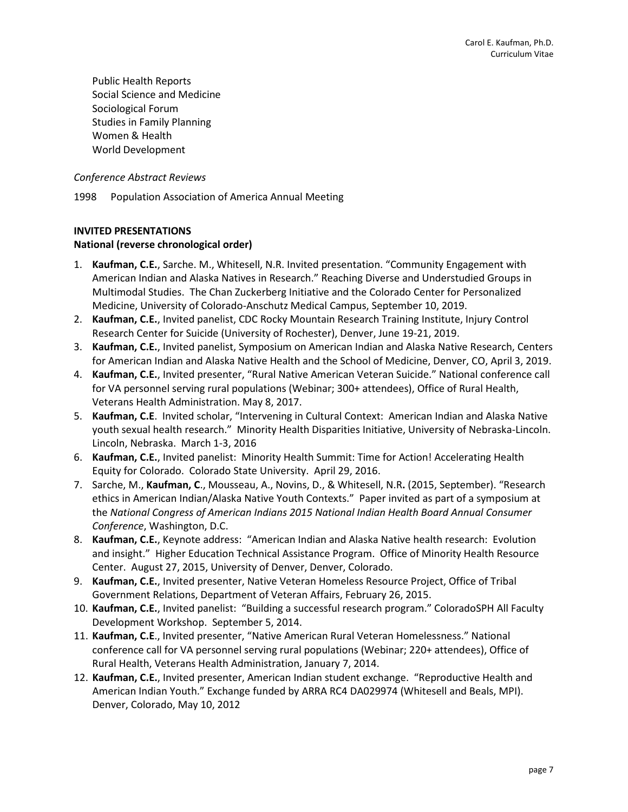Public Health Reports Social Science and Medicine Sociological Forum Studies in Family Planning Women & Health World Development

*Conference Abstract Reviews*

1998 Population Association of America Annual Meeting

### **INVITED PRESENTATIONS**

### **National (reverse chronological order)**

- 1. **Kaufman, C.E.**, Sarche. M., Whitesell, N.R. Invited presentation. "Community Engagement with American Indian and Alaska Natives in Research." Reaching Diverse and Understudied Groups in Multimodal Studies. The Chan Zuckerberg Initiative and the Colorado Center for Personalized Medicine, University of Colorado-Anschutz Medical Campus, September 10, 2019.
- 2. **Kaufman, C.E.**, Invited panelist, CDC Rocky Mountain Research Training Institute, Injury Control Research Center for Suicide (University of Rochester), Denver, June 19-21, 2019.
- 3. **Kaufman, C.E.**, Invited panelist, Symposium on American Indian and Alaska Native Research, Centers for American Indian and Alaska Native Health and the School of Medicine, Denver, CO, April 3, 2019.
- 4. **Kaufman, C.E.**, Invited presenter, "Rural Native American Veteran Suicide." National conference call for VA personnel serving rural populations (Webinar; 300+ attendees), Office of Rural Health, Veterans Health Administration. May 8, 2017.
- 5. **Kaufman, C.E**. Invited scholar, "Intervening in Cultural Context: American Indian and Alaska Native youth sexual health research." Minority Health Disparities Initiative, University of Nebraska-Lincoln. Lincoln, Nebraska. March 1-3, 2016
- 6. **Kaufman, C.E.**, Invited panelist: Minority Health Summit: Time for Action! Accelerating Health Equity for Colorado. Colorado State University. April 29, 2016.
- 7. Sarche, M., **Kaufman, C**., Mousseau, A., Novins, D., & Whitesell, N.R**.** (2015, September). "Research ethics in American Indian/Alaska Native Youth Contexts." Paper invited as part of a symposium at the *National Congress of American Indians 2015 National Indian Health Board Annual Consumer Conference*, Washington, D.C.
- 8. **Kaufman, C.E.**, Keynote address: "American Indian and Alaska Native health research: Evolution and insight." Higher Education Technical Assistance Program. Office of Minority Health Resource Center. August 27, 2015, University of Denver, Denver, Colorado.
- 9. **Kaufman, C.E.**, Invited presenter, Native Veteran Homeless Resource Project, Office of Tribal Government Relations, Department of Veteran Affairs, February 26, 2015.
- 10. **Kaufman, C.E.**, Invited panelist: "Building a successful research program." ColoradoSPH All Faculty Development Workshop. September 5, 2014.
- 11. **Kaufman, C.E**., Invited presenter, "Native American Rural Veteran Homelessness." National conference call for VA personnel serving rural populations (Webinar; 220+ attendees), Office of Rural Health, Veterans Health Administration, January 7, 2014.
- 12. **Kaufman, C.E.**, Invited presenter, American Indian student exchange. "Reproductive Health and American Indian Youth." Exchange funded by ARRA RC4 DA029974 (Whitesell and Beals, MPI). Denver, Colorado, May 10, 2012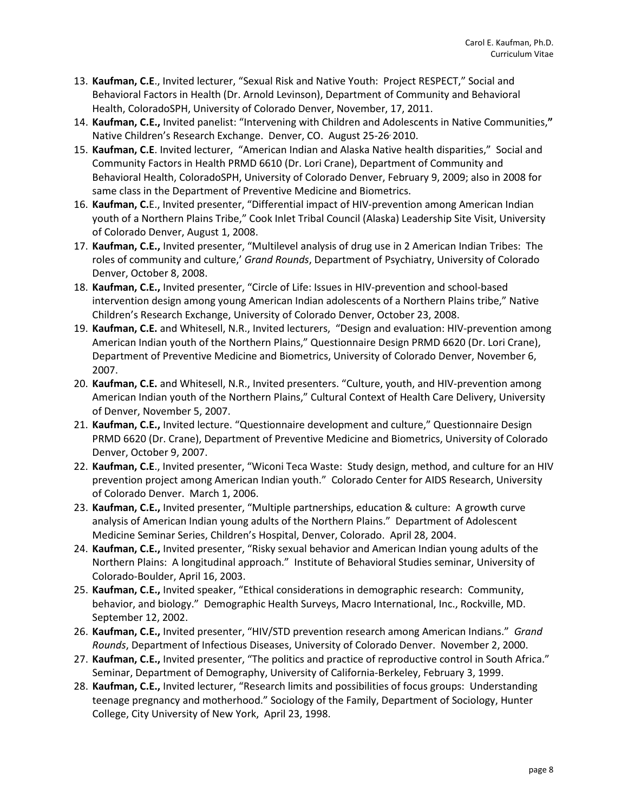- 13. **Kaufman, C.E**., Invited lecturer, "Sexual Risk and Native Youth: Project RESPECT," Social and Behavioral Factors in Health (Dr. Arnold Levinson), Department of Community and Behavioral Health, ColoradoSPH, University of Colorado Denver, November, 17, 2011.
- 14. **Kaufman, C.E.,** Invited panelist: "Intervening with Children and Adolescents in Native Communities,**"**  Native Children's Research Exchange. Denver, CO. August 25-26 2010.
- 15. **Kaufman, C.E**. Invited lecturer, "American Indian and Alaska Native health disparities," Social and Community Factors in Health PRMD 6610 (Dr. Lori Crane), Department of Community and Behavioral Health, ColoradoSPH, University of Colorado Denver, February 9, 2009; also in 2008 for same class in the Department of Preventive Medicine and Biometrics.
- 16. **Kaufman, C.**E., Invited presenter, "Differential impact of HIV-prevention among American Indian youth of a Northern Plains Tribe," Cook Inlet Tribal Council (Alaska) Leadership Site Visit, University of Colorado Denver, August 1, 2008.
- 17. **Kaufman, C.E.,** Invited presenter, "Multilevel analysis of drug use in 2 American Indian Tribes: The roles of community and culture,' *Grand Rounds*, Department of Psychiatry, University of Colorado Denver, October 8, 2008.
- 18. **Kaufman, C.E.,** Invited presenter, "Circle of Life: Issues in HIV-prevention and school-based intervention design among young American Indian adolescents of a Northern Plains tribe," Native Children's Research Exchange, University of Colorado Denver, October 23, 2008.
- 19. **Kaufman, C.E.** and Whitesell, N.R., Invited lecturers, "Design and evaluation: HIV-prevention among American Indian youth of the Northern Plains," Questionnaire Design PRMD 6620 (Dr. Lori Crane), Department of Preventive Medicine and Biometrics, University of Colorado Denver, November 6, 2007.
- 20. **Kaufman, C.E.** and Whitesell, N.R., Invited presenters. "Culture, youth, and HIV-prevention among American Indian youth of the Northern Plains," Cultural Context of Health Care Delivery, University of Denver, November 5, 2007.
- 21. **Kaufman, C.E.,** Invited lecture. "Questionnaire development and culture," Questionnaire Design PRMD 6620 (Dr. Crane), Department of Preventive Medicine and Biometrics, University of Colorado Denver, October 9, 2007.
- 22. **Kaufman, C.E**., Invited presenter, "Wiconi Teca Waste: Study design, method, and culture for an HIV prevention project among American Indian youth." Colorado Center for AIDS Research, University of Colorado Denver. March 1, 2006.
- 23. **Kaufman, C.E.,** Invited presenter, "Multiple partnerships, education & culture: A growth curve analysis of American Indian young adults of the Northern Plains." Department of Adolescent Medicine Seminar Series, Children's Hospital, Denver, Colorado. April 28, 2004.
- 24. **Kaufman, C.E.,** Invited presenter, "Risky sexual behavior and American Indian young adults of the Northern Plains: A longitudinal approach." Institute of Behavioral Studies seminar, University of Colorado-Boulder, April 16, 2003.
- 25. **Kaufman, C.E.,** Invited speaker, "Ethical considerations in demographic research: Community, behavior, and biology." Demographic Health Surveys, Macro International, Inc., Rockville, MD. September 12, 2002.
- 26. **Kaufman, C.E.,** Invited presenter, "HIV/STD prevention research among American Indians." *Grand Rounds*, Department of Infectious Diseases, University of Colorado Denver. November 2, 2000.
- 27. **Kaufman, C.E.,** Invited presenter, "The politics and practice of reproductive control in South Africa." Seminar, Department of Demography, University of California-Berkeley, February 3, 1999.
- 28. **Kaufman, C.E.,** Invited lecturer, "Research limits and possibilities of focus groups: Understanding teenage pregnancy and motherhood." Sociology of the Family, Department of Sociology, Hunter College, City University of New York, April 23, 1998.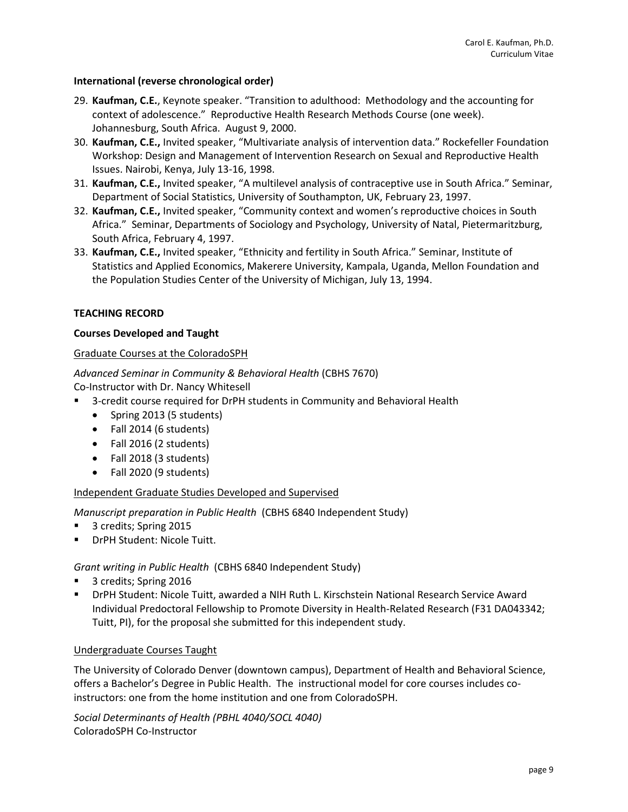### **International (reverse chronological order)**

- 29. **Kaufman, C.E.**, Keynote speaker. "Transition to adulthood: Methodology and the accounting for context of adolescence." Reproductive Health Research Methods Course (one week). Johannesburg, South Africa. August 9, 2000.
- 30. **Kaufman, C.E.,** Invited speaker, "Multivariate analysis of intervention data." Rockefeller Foundation Workshop: Design and Management of Intervention Research on Sexual and Reproductive Health Issues. Nairobi, Kenya, July 13-16, 1998.
- 31. **Kaufman, C.E.,** Invited speaker, "A multilevel analysis of contraceptive use in South Africa." Seminar, Department of Social Statistics, University of Southampton, UK, February 23, 1997.
- 32. **Kaufman, C.E.,** Invited speaker, "Community context and women's reproductive choices in South Africa." Seminar, Departments of Sociology and Psychology, University of Natal, Pietermaritzburg, South Africa, February 4, 1997.
- 33. **Kaufman, C.E.,** Invited speaker, "Ethnicity and fertility in South Africa." Seminar, Institute of Statistics and Applied Economics, Makerere University, Kampala, Uganda, Mellon Foundation and the Population Studies Center of the University of Michigan, July 13, 1994.

### **TEACHING RECORD**

### **Courses Developed and Taught**

### Graduate Courses at the ColoradoSPH

*Advanced Seminar in Community & Behavioral Health* (CBHS 7670) Co-Instructor with Dr. Nancy Whitesell

- 3-credit course required for DrPH students in Community and Behavioral Health
	- Spring 2013 (5 students)
	- Fall 2014 (6 students)
	- Fall 2016 (2 students)
	- Fall 2018 (3 students)
	- Fall 2020 (9 students)

# Independent Graduate Studies Developed and Supervised

*Manuscript preparation in Public Health* (CBHS 6840 Independent Study)

- 3 credits; Spring 2015
- DrPH Student: Nicole Tuitt.

# *Grant writing in Public Health* (CBHS 6840 Independent Study)

- 3 credits; Spring 2016
- DrPH Student: Nicole Tuitt, awarded a NIH Ruth L. Kirschstein National Research Service Award Individual Predoctoral Fellowship to Promote Diversity in Health-Related Research (F31 DA043342; Tuitt, PI), for the proposal she submitted for this independent study.

#### Undergraduate Courses Taught

The University of Colorado Denver (downtown campus), Department of Health and Behavioral Science, offers a Bachelor's Degree in Public Health. The instructional model for core courses includes coinstructors: one from the home institution and one from ColoradoSPH.

*Social Determinants of Health (PBHL 4040/SOCL 4040)* ColoradoSPH Co-Instructor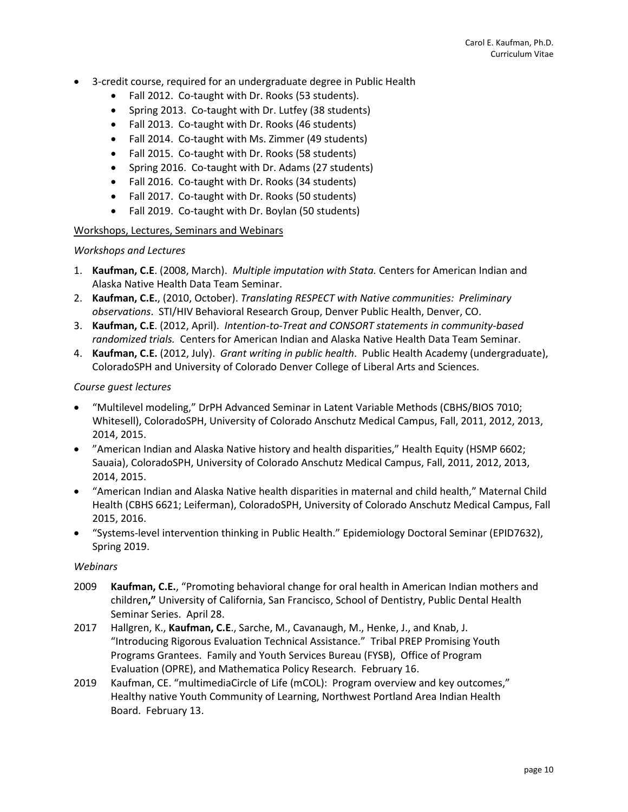- 3-credit course, required for an undergraduate degree in Public Health
	- Fall 2012. Co-taught with Dr. Rooks (53 students).
	- Spring 2013. Co-taught with Dr. Lutfey (38 students)
	- Fall 2013. Co-taught with Dr. Rooks (46 students)
	- Fall 2014. Co-taught with Ms. Zimmer (49 students)
	- Fall 2015. Co-taught with Dr. Rooks (58 students)
	- Spring 2016. Co-taught with Dr. Adams (27 students)
	- Fall 2016. Co-taught with Dr. Rooks (34 students)
	- Fall 2017. Co-taught with Dr. Rooks (50 students)
	- Fall 2019. Co-taught with Dr. Boylan (50 students)

# Workshops, Lectures, Seminars and Webinars

# *Workshops and Lectures*

- 1. **Kaufman, C.E**. (2008, March). *Multiple imputation with Stata.* Centers for American Indian and Alaska Native Health Data Team Seminar.
- 2. **Kaufman, C.E.**, (2010, October). *Translating RESPECT with Native communities: Preliminary observations*. STI/HIV Behavioral Research Group, Denver Public Health, Denver, CO.
- 3. **Kaufman, C.E**. (2012, April). *Intention-to-Treat and CONSORT statements in community-based randomized trials.* Centers for American Indian and Alaska Native Health Data Team Seminar.
- 4. **Kaufman, C.E.** (2012, July). *Grant writing in public health*. Public Health Academy (undergraduate), ColoradoSPH and University of Colorado Denver College of Liberal Arts and Sciences.

# *Course guest lectures*

- "Multilevel modeling," DrPH Advanced Seminar in Latent Variable Methods (CBHS/BIOS 7010; Whitesell), ColoradoSPH, University of Colorado Anschutz Medical Campus, Fall, 2011, 2012, 2013, 2014, 2015.
- "American Indian and Alaska Native history and health disparities," Health Equity (HSMP 6602; Sauaia), ColoradoSPH, University of Colorado Anschutz Medical Campus, Fall, 2011, 2012, 2013, 2014, 2015.
- "American Indian and Alaska Native health disparities in maternal and child health," Maternal Child Health (CBHS 6621; Leiferman), ColoradoSPH, University of Colorado Anschutz Medical Campus, Fall 2015, 2016.
- "Systems-level intervention thinking in Public Health." Epidemiology Doctoral Seminar (EPID7632), Spring 2019.

# *Webinars*

- 2009 **Kaufman, C.E.**, "Promoting behavioral change for oral health in American Indian mothers and children**,"** University of California, San Francisco, School of Dentistry, Public Dental Health Seminar Series. April 28.
- 2017 Hallgren, K., **Kaufman, C.E**., Sarche, M., Cavanaugh, M., Henke, J., and Knab, J. "Introducing Rigorous Evaluation Technical Assistance." Tribal PREP Promising Youth Programs Grantees. Family and Youth Services Bureau (FYSB), Office of Program Evaluation (OPRE), and Mathematica Policy Research. February 16.
- 2019 Kaufman, CE. "multimediaCircle of Life (mCOL): Program overview and key outcomes," Healthy native Youth Community of Learning, Northwest Portland Area Indian Health Board. February 13.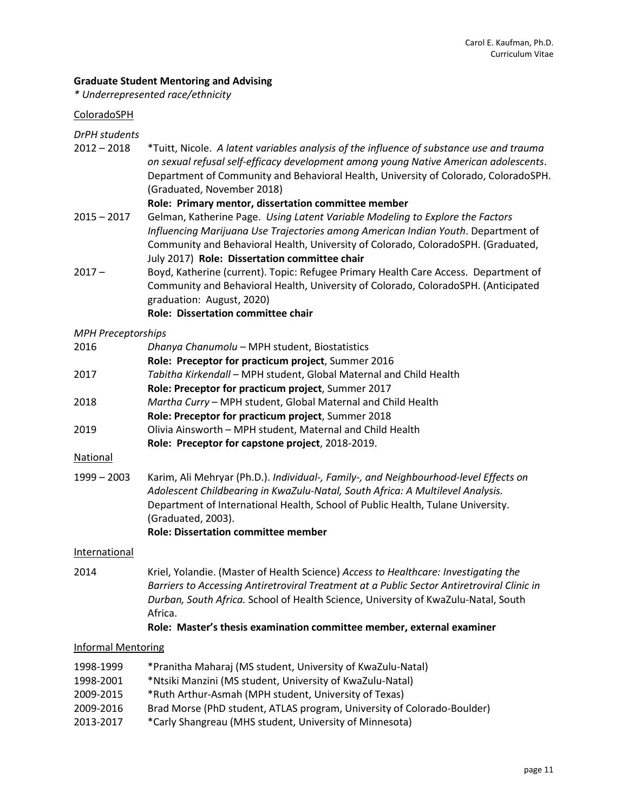### **Graduate Student Mentoring and Advising**

*\* Underrepresented race/ethnicity*

### ColoradoSPH

# *DrPH students*

2012 – 2018 \*Tuitt, Nicole. *A latent variables analysis of the influence of substance use and trauma on sexual refusal self-efficacy development among young Native American adolescents*. Department of Community and Behavioral Health, University of Colorado, ColoradoSPH. (Graduated, November 2018)

#### **Role: Primary mentor, dissertation committee member**

- 2015 2017 Gelman, Katherine Page. *Using Latent Variable Modeling to Explore the Factors Influencing Marijuana Use Trajectories among American Indian Youth*. Department of Community and Behavioral Health, University of Colorado, ColoradoSPH. (Graduated, July 2017) **Role: Dissertation committee chair**
- 2017 Boyd, Katherine (current). Topic: Refugee Primary Health Care Access. Department of Community and Behavioral Health, University of Colorado, ColoradoSPH. (Anticipated graduation: August, 2020)

### **Role: Dissertation committee chair**

### *MPH Preceptorships*

| 2016 | Dhanya Chanumolu - MPH student, Biostatistics                      |
|------|--------------------------------------------------------------------|
|      | Role: Preceptor for practicum project, Summer 2016                 |
| 2017 | Tabitha Kirkendall - MPH student, Global Maternal and Child Health |
|      | Role: Preceptor for practicum project, Summer 2017                 |
| 2018 | Martha Curry - MPH student, Global Maternal and Child Health       |
|      | Role: Preceptor for practicum project, Summer 2018                 |
| 2019 | Olivia Ainsworth - MPH student, Maternal and Child Health          |
|      |                                                                    |

#### **Role: Preceptor for capstone project**, 2018-2019.

#### National

1999 – 2003 Karim, Ali Mehryar (Ph.D.). *Individual-, Family-, and Neighbourhood-level Effects on Adolescent Childbearing in KwaZulu-Natal, South Africa: A Multilevel Analysis.* Department of International Health, School of Public Health, Tulane University. (Graduated, 2003).

#### **Role: Dissertation committee member**

#### **International**

2014 Kriel, Yolandie. (Master of Health Science) *Access to Healthcare: Investigating the Barriers to Accessing Antiretroviral Treatment at a Public Sector Antiretroviral Clinic in Durban, South Africa.* School of Health Science, University of KwaZulu-Natal, South Africa.

#### **Role: Master's thesis examination committee member, external examiner**

#### Informal Mentoring

- 1998-1999 \*Pranitha Maharaj (MS student, University of KwaZulu-Natal)
- 1998-2001 \*Ntsiki Manzini (MS student, University of KwaZulu-Natal)
- 2009-2015 \*Ruth Arthur-Asmah (MPH student, University of Texas)
- 2009-2016 Brad Morse (PhD student, ATLAS program, University of Colorado-Boulder)
- 2013-2017 \*Carly Shangreau (MHS student, University of Minnesota)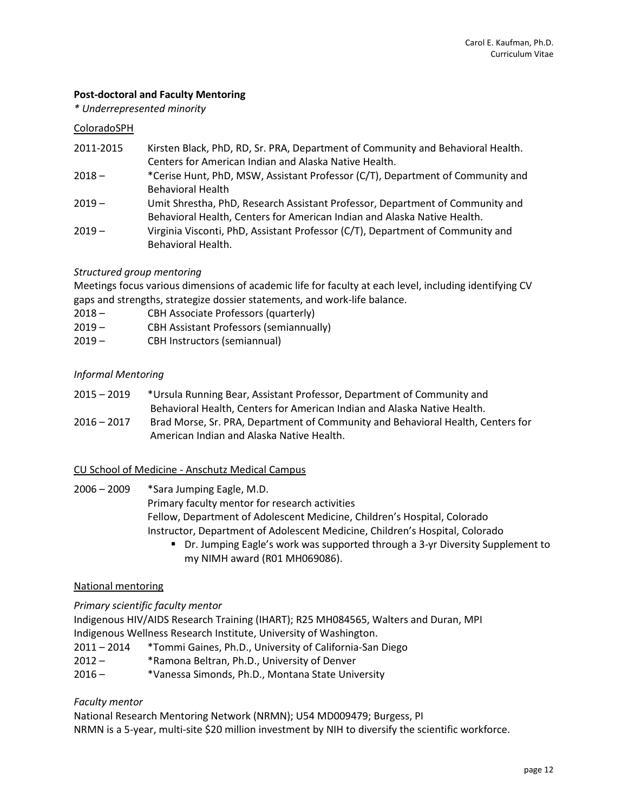# **Post-doctoral and Faculty Mentoring**

*\* Underrepresented minority*

#### ColoradoSPH

- 2011-2015 Kirsten Black, PhD, RD, Sr. PRA, Department of Community and Behavioral Health. Centers for American Indian and Alaska Native Health.
- 2018 \*Cerise Hunt, PhD, MSW, Assistant Professor (C/T), Department of Community and Behavioral Health
- 2019 Umit Shrestha, PhD, Research Assistant Professor, Department of Community and Behavioral Health, Centers for American Indian and Alaska Native Health.
- 2019 Virginia Visconti, PhD, Assistant Professor (C/T), Department of Community and Behavioral Health.

### *Structured group mentoring*

Meetings focus various dimensions of academic life for faculty at each level, including identifying CV gaps and strengths, strategize dossier statements, and work-life balance.

- 2018 CBH Associate Professors (quarterly)
- 2019 CBH Assistant Professors (semiannually)
- 2019 CBH Instructors (semiannual)

### *Informal Mentoring*

- 2015 2019 \*Ursula Running Bear, Assistant Professor, Department of Community and Behavioral Health, Centers for American Indian and Alaska Native Health.
- 2016 2017 Brad Morse, Sr. PRA, Department of Community and Behavioral Health, Centers for American Indian and Alaska Native Health.

### CU School of Medicine - Anschutz Medical Campus

2006 – 2009 \*Sara Jumping Eagle, M.D. Primary faculty mentor for research activities Fellow, Department of Adolescent Medicine, Children's Hospital, Colorado Instructor, Department of Adolescent Medicine, Children's Hospital, Colorado

 Dr. Jumping Eagle's work was supported through a 3-yr Diversity Supplement to my NIMH award (R01 MH069086).

#### National mentoring

*Primary scientific faculty mentor*

Indigenous HIV/AIDS Research Training (IHART); R25 MH084565, Walters and Duran, MPI Indigenous Wellness Research Institute, University of Washington.

- 2011 2014 \*Tommi Gaines, Ph.D., University of California-San Diego
- 2012 \*Ramona Beltran, Ph.D., University of Denver
- 2016 \*Vanessa Simonds, Ph.D., Montana State University

#### *Faculty mentor*

National Research Mentoring Network (NRMN); U54 MD009479; Burgess, PI

NRMN is a 5-year, multi-site \$20 million investment by NIH to diversify the scientific workforce.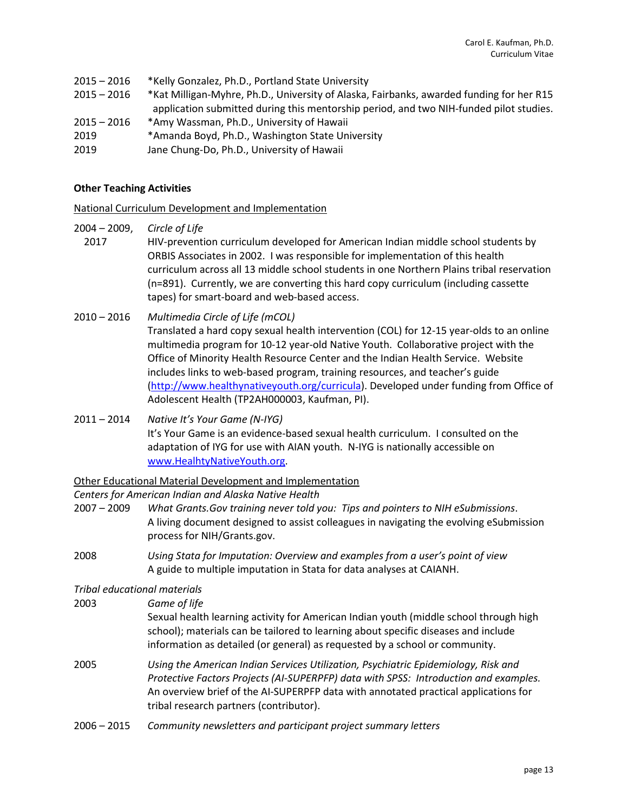- 2015 2016 \*Kelly Gonzalez, Ph.D., Portland State University
- 2015 2016 \*Kat Milligan-Myhre, Ph.D., University of Alaska, Fairbanks, awarded funding for her R15 application submitted during this mentorship period, and two NIH-funded pilot studies.
- 2015 2016 \*Amy Wassman, Ph.D., University of Hawaii
- 2019 \*Amanda Boyd, Ph.D., Washington State University
- 2019 Jane Chung-Do, Ph.D., University of Hawaii

### **Other Teaching Activities**

National Curriculum Development and Implementation

- 2004 2009, *Circle of Life*
- 2017 HIV-prevention curriculum developed for American Indian middle school students by ORBIS Associates in 2002. I was responsible for implementation of this health curriculum across all 13 middle school students in one Northern Plains tribal reservation (n=891). Currently, we are converting this hard copy curriculum (including cassette tapes) for smart-board and web-based access.
- 2010 2016 *Multimedia Circle of Life (mCOL)* Translated a hard copy sexual health intervention (COL) for 12-15 year-olds to an online multimedia program for 10-12 year-old Native Youth. Collaborative project with the Office of Minority Health Resource Center and the Indian Health Service. Website includes links to web-based program, training resources, and teacher's guide [\(http://www.healthynativeyouth.org/curricula\)](http://www.healthynativeyouth.org/curricula). Developed under funding from Office of Adolescent Health (TP2AH000003, Kaufman, PI).
- 2011 2014 *Native It's Your Game (N-IYG)* It's Your Game is an evidence-based sexual health curriculum. I consulted on the adaptation of IYG for use with AIAN youth. N-IYG is nationally accessible on [www.HealhtyNativeYouth.org.](http://www.healhtynativeyouth.org/)

#### Other Educational Material Development and Implementation

#### *Centers for American Indian and Alaska Native Health*

2007 – 2009 *What Grants.Gov training never told you: Tips and pointers to NIH eSubmissions*. A living document designed to assist colleagues in navigating the evolving eSubmission process for NIH/Grants.gov.

2008 *Using Stata for Imputation: Overview and examples from a user's point of view* A guide to multiple imputation in Stata for data analyses at CAIANH.

#### *Tribal educational materials*

- 2003 *Game of life* Sexual health learning activity for American Indian youth (middle school through high school); materials can be tailored to learning about specific diseases and include information as detailed (or general) as requested by a school or community.
- 2005 *Using the American Indian Services Utilization, Psychiatric Epidemiology, Risk and Protective Factors Projects (AI-SUPERPFP) data with SPSS: Introduction and examples.*  An overview brief of the AI-SUPERPFP data with annotated practical applications for tribal research partners (contributor).
- 2006 2015 *Community newsletters and participant project summary letters*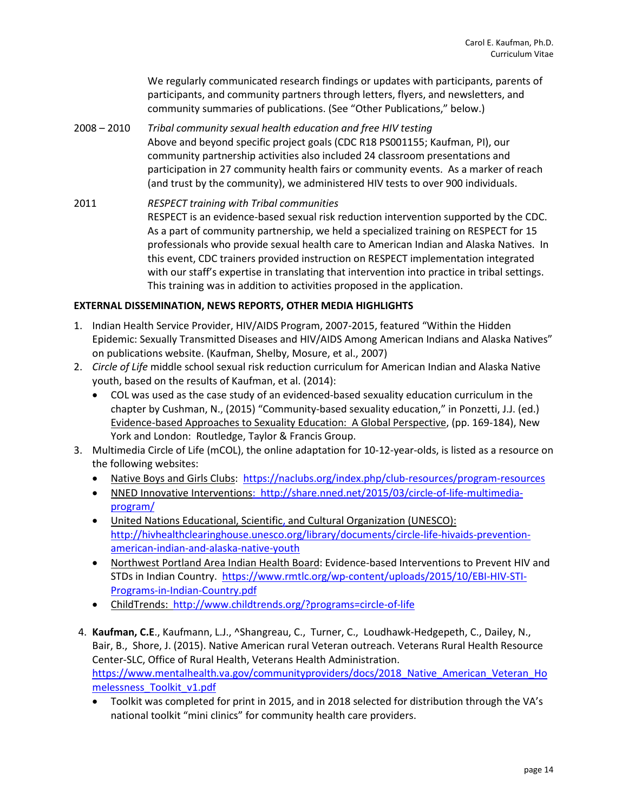We regularly communicated research findings or updates with participants, parents of participants, and community partners through letters, flyers, and newsletters, and community summaries of publications. (See "Other Publications," below.)

- 2008 2010 *Tribal community sexual health education and free HIV testing* Above and beyond specific project goals (CDC R18 PS001155; Kaufman, PI), our community partnership activities also included 24 classroom presentations and participation in 27 community health fairs or community events. As a marker of reach (and trust by the community), we administered HIV tests to over 900 individuals.
- 2011 *RESPECT training with Tribal communities* RESPECT is an evidence-based sexual risk reduction intervention supported by the CDC. As a part of community partnership, we held a specialized training on RESPECT for 15 professionals who provide sexual health care to American Indian and Alaska Natives. In this event, CDC trainers provided instruction on RESPECT implementation integrated with our staff's expertise in translating that intervention into practice in tribal settings. This training was in addition to activities proposed in the application.

### **EXTERNAL DISSEMINATION, NEWS REPORTS, OTHER MEDIA HIGHLIGHTS**

- 1. Indian Health Service Provider, HIV/AIDS Program, 2007-2015, featured "Within the Hidden Epidemic: Sexually Transmitted Diseases and HIV/AIDS Among American Indians and Alaska Natives" on publications website. (Kaufman, Shelby, Mosure, et al., 2007)
- 2. *Circle of Life* middle school sexual risk reduction curriculum for American Indian and Alaska Native youth, based on the results of Kaufman, et al. (2014):
	- COL was used as the case study of an evidenced-based sexuality education curriculum in the chapter by Cushman, N., (2015) "Community-based sexuality education," in Ponzetti, J.J. (ed.) Evidence-based Approaches to Sexuality Education: A Global Perspective, (pp. 169-184), New York and London: Routledge, Taylor & Francis Group.
- 3. Multimedia Circle of Life (mCOL), the online adaptation for 10-12-year-olds, is listed as a resource on the following websites:
	- Native Boys and Girls Clubs: <https://naclubs.org/index.php/club-resources/program-resources>
	- NNED Innovative Interventions: [http://share.nned.net/2015/03/circle-of-life-multimedia](http://share.nned.net/2015/03/circle-of-life-multimedia-program/)[program/](http://share.nned.net/2015/03/circle-of-life-multimedia-program/)
	- United Nations Educational, Scientific, and Cultural Organization (UNESCO): [http://hivhealthclearinghouse.unesco.org/library/documents/circle-life-hivaids-prevention](http://hivhealthclearinghouse.unesco.org/library/documents/circle-life-hivaids-prevention-american-indian-and-alaska-native-youth)[american-indian-and-alaska-native-youth](http://hivhealthclearinghouse.unesco.org/library/documents/circle-life-hivaids-prevention-american-indian-and-alaska-native-youth)
	- Northwest Portland Area Indian Health Board: Evidence-based Interventions to Prevent HIV and STDs in Indian Country. [https://www.rmtlc.org/wp-content/uploads/2015/10/EBI-HIV-STI-](https://www.rmtlc.org/wp-content/uploads/2015/10/EBI-HIV-STI-Programs-in-Indian-Country.pdf)[Programs-in-Indian-Country.pdf](https://www.rmtlc.org/wp-content/uploads/2015/10/EBI-HIV-STI-Programs-in-Indian-Country.pdf)
	- ChildTrends: <http://www.childtrends.org/?programs=circle-of-life>
- 4. **Kaufman, C.E**., Kaufmann, L.J., ^Shangreau, C., Turner, C., Loudhawk-Hedgepeth, C., Dailey, N., Bair, B., Shore, J. (2015). Native American rural Veteran outreach. Veterans Rural Health Resource Center-SLC, Office of Rural Health, Veterans Health Administration. [https://www.mentalhealth.va.gov/communityproviders/docs/2018\\_Native\\_American\\_Veteran\\_Ho](https://www.mentalhealth.va.gov/communityproviders/docs/2018_Native_American_Veteran_Homelessness_Toolkit_v1.pdf) [melessness\\_Toolkit\\_v1.pdf](https://www.mentalhealth.va.gov/communityproviders/docs/2018_Native_American_Veteran_Homelessness_Toolkit_v1.pdf)
	- Toolkit was completed for print in 2015, and in 2018 selected for distribution through the VA's national toolkit "mini clinics" for community health care providers.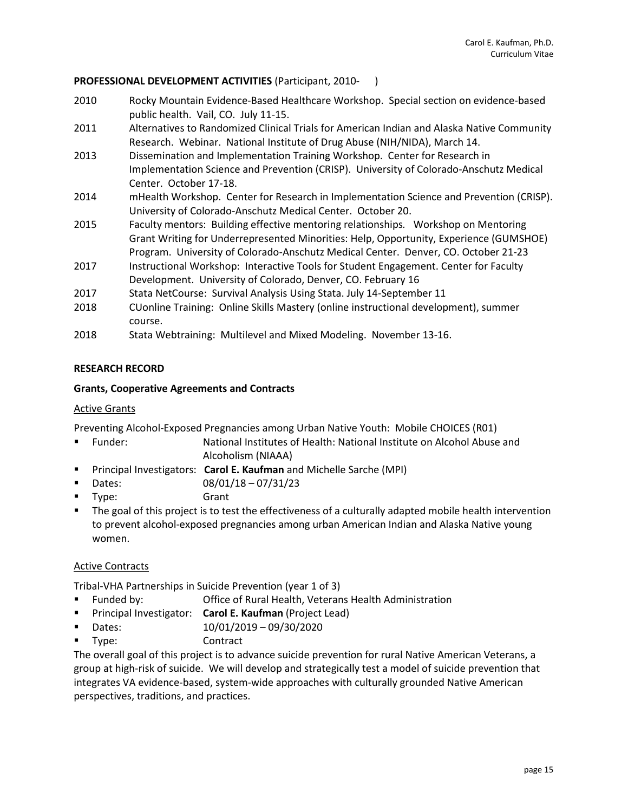# **PROFESSIONAL DEVELOPMENT ACTIVITIES** (Participant, 2010- )

- 2010 Rocky Mountain Evidence-Based Healthcare Workshop. Special section on evidence-based public health. Vail, CO. July 11-15.
- 2011 Alternatives to Randomized Clinical Trials for American Indian and Alaska Native Community Research. Webinar. National Institute of Drug Abuse (NIH/NIDA), March 14.
- 2013 Dissemination and Implementation Training Workshop. Center for Research in Implementation Science and Prevention (CRISP). University of Colorado-Anschutz Medical Center. October 17-18.
- 2014 mHealth Workshop. Center for Research in Implementation Science and Prevention (CRISP). University of Colorado-Anschutz Medical Center. October 20.
- 2015 Faculty mentors: Building effective mentoring relationships*.* Workshop on Mentoring Grant Writing for Underrepresented Minorities: Help, Opportunity, Experience (GUMSHOE) Program. University of Colorado-Anschutz Medical Center. Denver, CO. October 21-23
- 2017 Instructional Workshop: Interactive Tools for Student Engagement. Center for Faculty Development. University of Colorado, Denver, CO. February 16
- 2017 Stata NetCourse: Survival Analysis Using Stata. July 14-September 11
- 2018 CUonline Training: Online Skills Mastery (online instructional development), summer course.
- 2018 Stata Webtraining: Multilevel and Mixed Modeling. November 13-16.

# **RESEARCH RECORD**

# **Grants, Cooperative Agreements and Contracts**

# Active Grants

Preventing Alcohol-Exposed Pregnancies among Urban Native Youth: Mobile CHOICES (R01)

- Funder: National Institutes of Health: National Institute on Alcohol Abuse and Alcoholism (NIAAA)
- Principal Investigators: **Carol E. Kaufman** and Michelle Sarche (MPI)
- $\blacksquare$  Dates: 08/01/18 07/31/23
- Type: Grant
- The goal of this project is to test the effectiveness of a culturally adapted mobile health intervention to prevent alcohol-exposed pregnancies among urban American Indian and Alaska Native young women.

# Active Contracts

Tribal-VHA Partnerships in Suicide Prevention (year 1 of 3)

- Funded by: Office of Rural Health, Veterans Health Administration
- Principal Investigator: **Carol E. Kaufman** (Project Lead)
- Dates: 10/01/2019 09/30/2020
- Type: Contract

The overall goal of this project is to advance suicide prevention for rural Native American Veterans, a group at high-risk of suicide. We will develop and strategically test a model of suicide prevention that integrates VA evidence-based, system-wide approaches with culturally grounded Native American perspectives, traditions, and practices.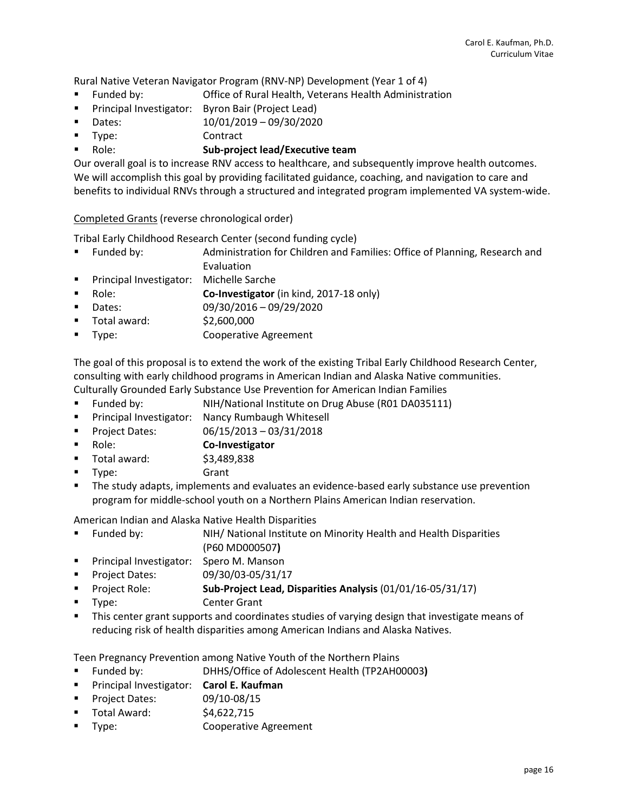Rural Native Veteran Navigator Program (RNV-NP) Development (Year 1 of 4)

- Funded by: Office of Rural Health, Veterans Health Administration
- **Principal Investigator:** Byron Bair (Project Lead)
- Dates: 10/01/2019 09/30/2020
- Type: Contract

# Role: **Sub-project lead/Executive team**

Our overall goal is to increase RNV access to healthcare, and subsequently improve health outcomes. We will accomplish this goal by providing facilitated guidance, coaching, and navigation to care and benefits to individual RNVs through a structured and integrated program implemented VA system-wide.

Completed Grants (reverse chronological order)

Tribal Early Childhood Research Center (second funding cycle)

- Funded by: Administration for Children and Families: Office of Planning, Research and Evaluation
- **Principal Investigator:** Michelle Sarche
- **Role: Co-Investigator** (in kind, 2017-18 only)
- Dates: 09/30/2016 09/29/2020
- Total award: \$2,600,000
- **Type:** Cooperative Agreement

The goal of this proposal is to extend the work of the existing Tribal Early Childhood Research Center, consulting with early childhood programs in American Indian and Alaska Native communities. Culturally Grounded Early Substance Use Prevention for American Indian Families

- Funded by: NIH/National Institute on Drug Abuse (R01 DA035111)
- **Principal Investigator: Nancy Rumbaugh Whitesell**
- **Project Dates:** 06/15/2013 03/31/2018
- Role: **Co-Investigator**
- Total award: \$3,489,838
- Type: Grant
- The study adapts, implements and evaluates an evidence-based early substance use prevention program for middle-school youth on a Northern Plains American Indian reservation.

American Indian and Alaska Native Health Disparities

- Funded by: NIH/ National Institute on Minority Health and Health Disparities (P60 MD000507**)**
- **Principal Investigator: Spero M. Manson**
- **Project Dates:** 09/30/03-05/31/17
- Project Role: **Sub-Project Lead, Disparities Analysis** (01/01/16-05/31/17)
- **Type:** Center Grant
- **This center grant supports and coordinates studies of varying design that investigate means of** reducing risk of health disparities among American Indians and Alaska Natives.

Teen Pregnancy Prevention among Native Youth of the Northern Plains

- Funded by: DHHS/Office of Adolescent Health (TP2AH00003**)**
- Principal Investigator: **Carol E. Kaufman**
- Project Dates: 09/10-08/15
- $\blacksquare$  Total Award:  $\blacksquare$  \$4,622,715
- **Type:** Cooperative Agreement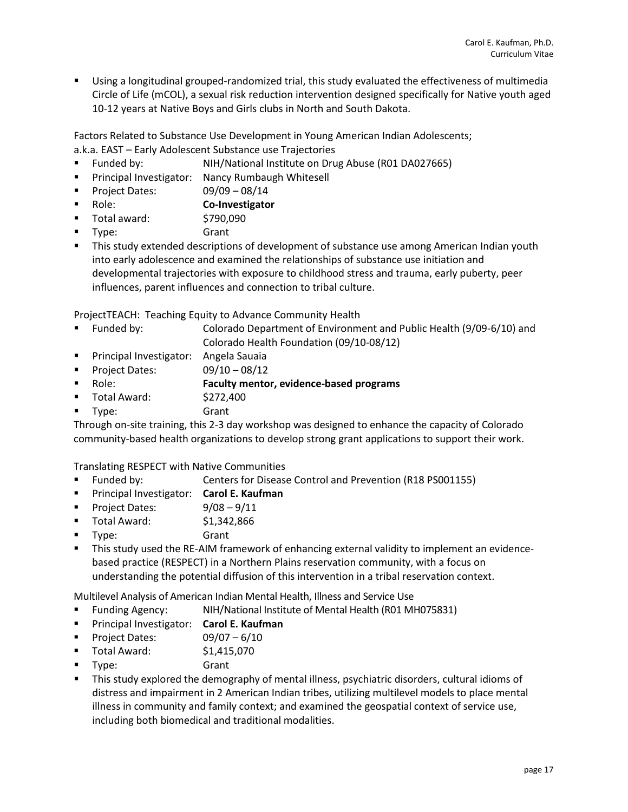Using a longitudinal grouped-randomized trial, this study evaluated the effectiveness of multimedia Circle of Life (mCOL), a sexual risk reduction intervention designed specifically for Native youth aged 10-12 years at Native Boys and Girls clubs in North and South Dakota.

Factors Related to Substance Use Development in Young American Indian Adolescents;

- a.k.a. EAST Early Adolescent Substance use Trajectories
- Funded by: NIH/National Institute on Drug Abuse (R01 DA027665)
- **Principal Investigator: Nancy Rumbaugh Whitesell**
- Project Dates:  $09/09 08/14$
- Role: **Co-Investigator**
- $\blacksquare$  Total award:  $$790,090$
- Type: Grant
- **This study extended descriptions of development of substance use among American Indian youth** into early adolescence and examined the relationships of substance use initiation and developmental trajectories with exposure to childhood stress and trauma, early puberty, peer influences, parent influences and connection to tribal culture.

ProjectTEACH: Teaching Equity to Advance Community Health

- Funded by: Colorado Department of Environment and Public Health (9/09-6/10) and Colorado Health Foundation (09/10-08/12)
- **Principal Investigator: Angela Sauaia**
- Project Dates:  $09/10 08/12$

Role: **Faculty mentor, evidence-based programs**

- Total Award: \$272,400
- Type: Grant

Through on-site training, this 2-3 day workshop was designed to enhance the capacity of Colorado community-based health organizations to develop strong grant applications to support their work.

Translating RESPECT with Native Communities

- Funded by: Centers for Disease Control and Prevention (R18 PS001155)
- Principal Investigator: **Carol E. Kaufman**
- Project Dates: 9/08 9/11
- Total Award: \$1,342,866
- Type: Grant
- This study used the RE-AIM framework of enhancing external validity to implement an evidencebased practice (RESPECT) in a Northern Plains reservation community, with a focus on understanding the potential diffusion of this intervention in a tribal reservation context.

Multilevel Analysis of American Indian Mental Health, Illness and Service Use

- Funding Agency: NIH/National Institute of Mental Health (R01 MH075831)
- Principal Investigator: **Carol E. Kaufman**
- Project Dates:  $09/07 6/10$
- Total Award: \$1,415,070
- Type: Grant
- **This study explored the demography of mental illness, psychiatric disorders, cultural idioms of** distress and impairment in 2 American Indian tribes, utilizing multilevel models to place mental illness in community and family context; and examined the geospatial context of service use, including both biomedical and traditional modalities.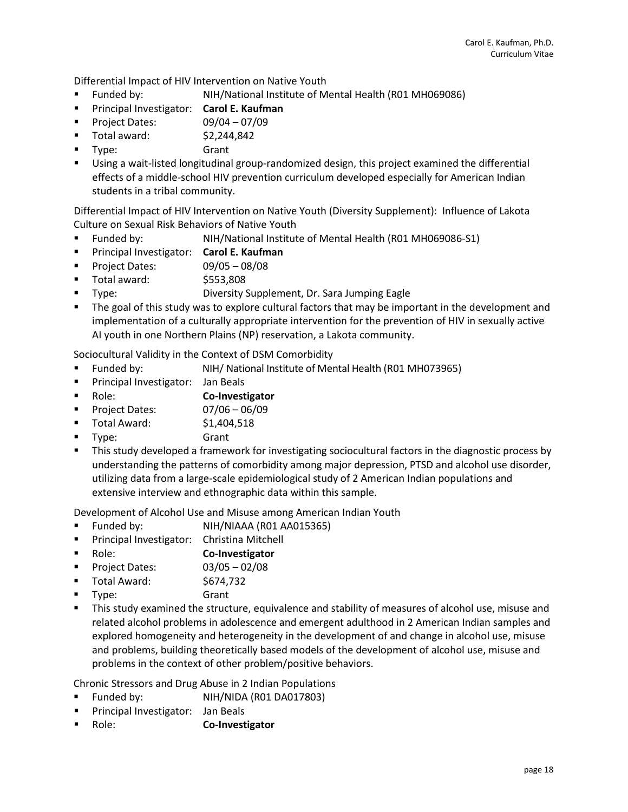Differential Impact of HIV Intervention on Native Youth

- Funded by: NIH/National Institute of Mental Health (R01 MH069086)
- Principal Investigator: **Carol E. Kaufman**
- **Project Dates:** 09/04 07/09
- $\blacksquare$  Total award:  $$2,244,842$
- Type: Grant
- Using a wait-listed longitudinal group-randomized design, this project examined the differential effects of a middle-school HIV prevention curriculum developed especially for American Indian students in a tribal community.

Differential Impact of HIV Intervention on Native Youth (Diversity Supplement): Influence of Lakota Culture on Sexual Risk Behaviors of Native Youth

- Funded by: NIH/National Institute of Mental Health (R01 MH069086-S1)
- Principal Investigator: **Carol E. Kaufman**
- Project Dates:  $09/05 08/08$
- Total award: \$553,808
- Type: Diversity Supplement, Dr. Sara Jumping Eagle
- The goal of this study was to explore cultural factors that may be important in the development and implementation of a culturally appropriate intervention for the prevention of HIV in sexually active AI youth in one Northern Plains (NP) reservation, a Lakota community.

Sociocultural Validity in the Context of DSM Comorbidity

- Funded by: NIH/ National Institute of Mental Health (R01 MH073965)
- **Principal Investigator:** Jan Beals
- Role: **Co-Investigator**
- **Project Dates:** 07/06 06/09
- Total Award: \$1,404,518
- **Type:** Grant
- **This study developed a framework for investigating sociocultural factors in the diagnostic process by** understanding the patterns of comorbidity among major depression, PTSD and alcohol use disorder, utilizing data from a large-scale epidemiological study of 2 American Indian populations and extensive interview and ethnographic data within this sample.

Development of Alcohol Use and Misuse among American Indian Youth

- Funded by: NIH/NIAAA (R01 AA015365)
- **Principal Investigator:** Christina Mitchell
- Role: **Co-Investigator**
- Project Dates:  $03/05 02/08$
- Total Award: \$674,732
- **Type:** Grant
- This study examined the structure, equivalence and stability of measures of alcohol use, misuse and related alcohol problems in adolescence and emergent adulthood in 2 American Indian samples and explored homogeneity and heterogeneity in the development of and change in alcohol use, misuse and problems, building theoretically based models of the development of alcohol use, misuse and problems in the context of other problem/positive behaviors.

Chronic Stressors and Drug Abuse in 2 Indian Populations

- Funded by: NIH/NIDA (R01 DA017803)
- **Principal Investigator: Jan Beals**
- **Role: Co-Investigator**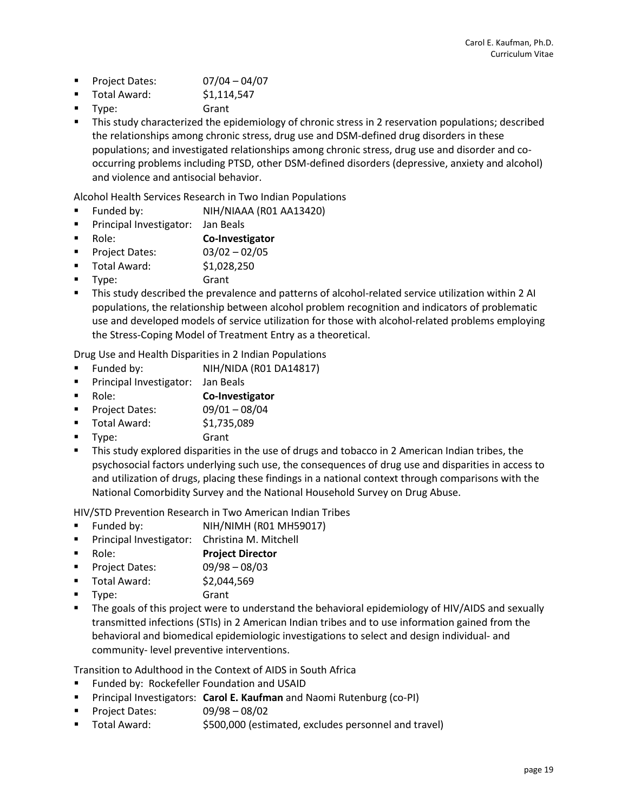- Project Dates:  $07/04 04/07$
- $\blacksquare$  Total Award:  $$1,114,547$
- Type: Grant
- This study characterized the epidemiology of chronic stress in 2 reservation populations; described the relationships among chronic stress, drug use and DSM-defined drug disorders in these populations; and investigated relationships among chronic stress, drug use and disorder and cooccurring problems including PTSD, other DSM-defined disorders (depressive, anxiety and alcohol) and violence and antisocial behavior.

Alcohol Health Services Research in Two Indian Populations

- Funded by: NIH/NIAAA (R01 AA13420)
- **Principal Investigator:** Jan Beals
- Role: **Co-Investigator**
- Project Dates:  $03/02 02/05$
- Total Award: \$1,028,250
- Type: Grant
- This study described the prevalence and patterns of alcohol-related service utilization within 2 AI populations, the relationship between alcohol problem recognition and indicators of problematic use and developed models of service utilization for those with alcohol-related problems employing the Stress-Coping Model of Treatment Entry as a theoretical.

Drug Use and Health Disparities in 2 Indian Populations

- Funded by: NIH/NIDA (R01 DA14817)
- Principal Investigator: Jan Beals
- Role: **Co-Investigator**
- Project Dates:  $09/01 08/04$
- Total Award: \$1,735,089
- **Type:** Grant
- This study explored disparities in the use of drugs and tobacco in 2 American Indian tribes, the psychosocial factors underlying such use, the consequences of drug use and disparities in access to and utilization of drugs, placing these findings in a national context through comparisons with the National Comorbidity Survey and the National Household Survey on Drug Abuse.

HIV/STD Prevention Research in Two American Indian Tribes

- Funded by: NIH/NIMH (R01 MH59017)
- **Principal Investigator:** Christina M. Mitchell
- Role: **Project Director**
- Project Dates: 09/98 08/03
- Total Award: \$2,044,569
- Type: Grant
- The goals of this project were to understand the behavioral epidemiology of HIV/AIDS and sexually transmitted infections (STIs) in 2 American Indian tribes and to use information gained from the behavioral and biomedical epidemiologic investigations to select and design individual- and community- level preventive interventions.

Transition to Adulthood in the Context of AIDS in South Africa

- Funded by: Rockefeller Foundation and USAID
- Principal Investigators: **Carol E. Kaufman** and Naomi Rutenburg (co-PI)
- **Project Dates:** 09/98 08/02
- Total Award: \$500,000 (estimated, excludes personnel and travel)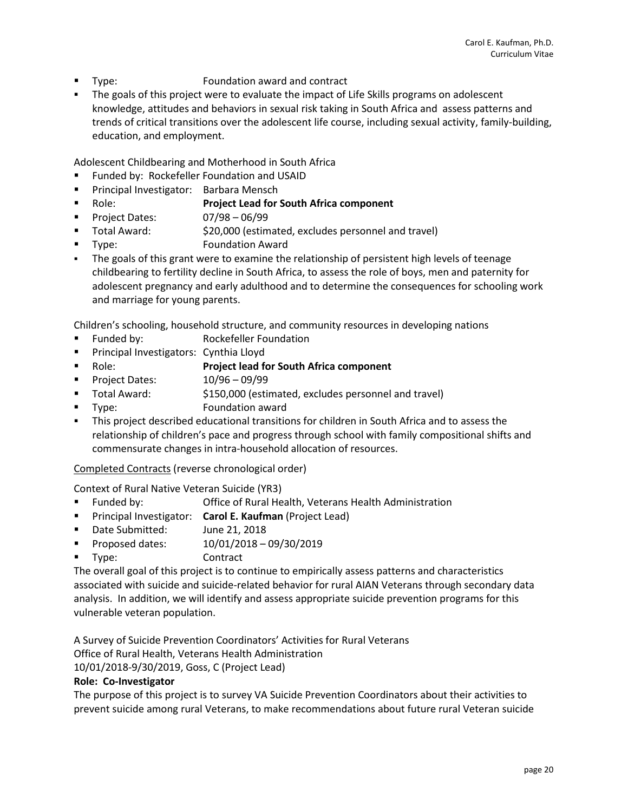- **Type:** Foundation award and contract
- The goals of this project were to evaluate the impact of Life Skills programs on adolescent knowledge, attitudes and behaviors in sexual risk taking in South Africa and assess patterns and trends of critical transitions over the adolescent life course, including sexual activity, family-building, education, and employment.

Adolescent Childbearing and Motherhood in South Africa

- Funded by: Rockefeller Foundation and USAID
- Principal Investigator: Barbara Mensch
- Role: **Project Lead for South Africa component**
- **Project Dates:** 07/98 06/99
- Total Award: \$20,000 (estimated, excludes personnel and travel)
- **Type:** Foundation Award
- The goals of this grant were to examine the relationship of persistent high levels of teenage childbearing to fertility decline in South Africa, to assess the role of boys, men and paternity for adolescent pregnancy and early adulthood and to determine the consequences for schooling work and marriage for young parents.

Children's schooling, household structure, and community resources in developing nations

- **Funded by:** Rockefeller Foundation
- **Principal Investigators: Cynthia Lloyd**
- Role: **Project lead for South Africa component**
- Project Dates:  $10/96 09/99$
- Total Award: \$150,000 (estimated, excludes personnel and travel)
- **Type:** Foundation award
- This project described educational transitions for children in South Africa and to assess the relationship of children's pace and progress through school with family compositional shifts and commensurate changes in intra-household allocation of resources.

Completed Contracts (reverse chronological order)

Context of Rural Native Veteran Suicide (YR3)

- **Funded by:** Office of Rural Health, Veterans Health Administration
- **Principal Investigator: Carol E. Kaufman** (Project Lead)
- Date Submitted: June 21, 2018
- **Proposed dates:** 10/01/2018 09/30/2019
- Type: Contract

The overall goal of this project is to continue to empirically assess patterns and characteristics associated with suicide and suicide-related behavior for rural AIAN Veterans through secondary data analysis. In addition, we will identify and assess appropriate suicide prevention programs for this vulnerable veteran population.

A Survey of Suicide Prevention Coordinators' Activities for Rural Veterans

Office of Rural Health, Veterans Health Administration

10/01/2018-9/30/2019, Goss, C (Project Lead)

#### **Role: Co-Investigator**

The purpose of this project is to survey VA Suicide Prevention Coordinators about their activities to prevent suicide among rural Veterans, to make recommendations about future rural Veteran suicide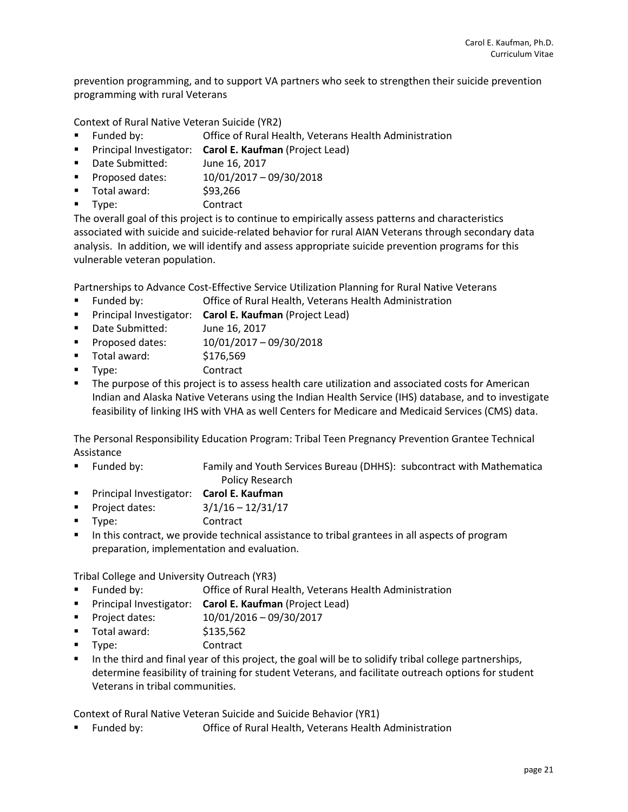prevention programming, and to support VA partners who seek to strengthen their suicide prevention programming with rural Veterans

Context of Rural Native Veteran Suicide (YR2)

- Funded by: Office of Rural Health, Veterans Health Administration
- **Principal Investigator: Carol E. Kaufman (Project Lead)**
- Date Submitted: June 16, 2017
- **Proposed dates:** 10/01/2017 09/30/2018
- Total award: \$93,266
- Type: Contract

The overall goal of this project is to continue to empirically assess patterns and characteristics associated with suicide and suicide-related behavior for rural AIAN Veterans through secondary data analysis. In addition, we will identify and assess appropriate suicide prevention programs for this vulnerable veteran population.

Partnerships to Advance Cost-Effective Service Utilization Planning for Rural Native Veterans

- Funded by: Office of Rural Health, Veterans Health Administration
- **Principal Investigator: Carol E. Kaufman (Project Lead)**
- **Date Submitted:** June 16, 2017
- **Proposed dates:** 10/01/2017 09/30/2018
- Total award: \$176,569
- Type: Contract
- **The purpose of this project is to assess health care utilization and associated costs for American** Indian and Alaska Native Veterans using the Indian Health Service (IHS) database, and to investigate feasibility of linking IHS with VHA as well Centers for Medicare and Medicaid Services (CMS) data.

The Personal Responsibility Education Program: Tribal Teen Pregnancy Prevention Grantee Technical Assistance

- Funded by: Family and Youth Services Bureau (DHHS): subcontract with Mathematica Policy Research
- Principal Investigator: **Carol E. Kaufman**
- Project dates:  $3/1/16 12/31/17$
- Type: Contract
- In this contract, we provide technical assistance to tribal grantees in all aspects of program preparation, implementation and evaluation.

Tribal College and University Outreach (YR3)

- Funded by: Office of Rural Health, Veterans Health Administration
- Principal Investigator: **Carol E. Kaufman** (Project Lead)
- Project dates: 10/01/2016 09/30/2017
- $\blacksquare$  Total award:  $$135,562$
- Type: Contract
- In the third and final year of this project, the goal will be to solidify tribal college partnerships, determine feasibility of training for student Veterans, and facilitate outreach options for student Veterans in tribal communities.

Context of Rural Native Veteran Suicide and Suicide Behavior (YR1)

Funded by: Office of Rural Health, Veterans Health Administration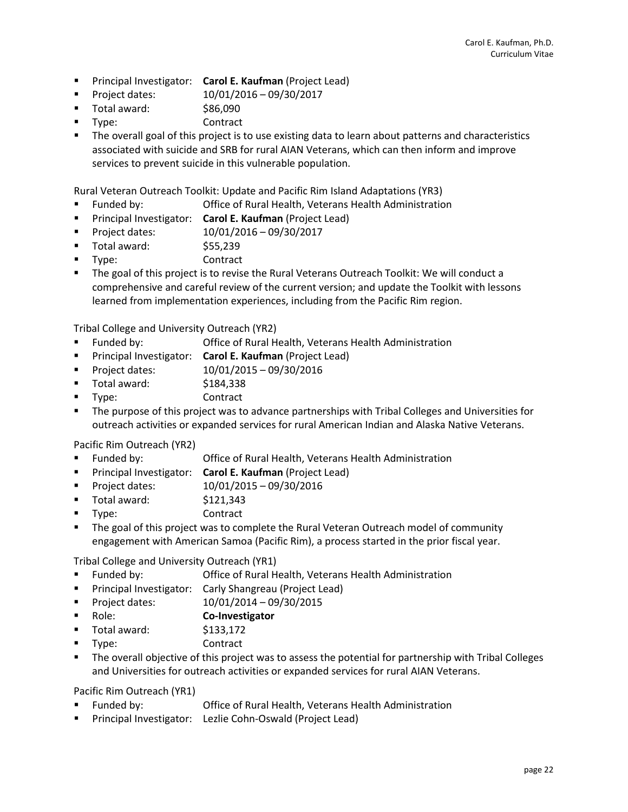- Principal Investigator: **Carol E. Kaufman** (Project Lead)
- **Project dates:** 10/01/2016 09/30/2017
- Total award:  $$86,090$
- Type: Contract
- **The overall goal of this project is to use existing data to learn about patterns and characteristics** associated with suicide and SRB for rural AIAN Veterans, which can then inform and improve services to prevent suicide in this vulnerable population.

Rural Veteran Outreach Toolkit: Update and Pacific Rim Island Adaptations (YR3)

- Funded by: Office of Rural Health, Veterans Health Administration
- Principal Investigator: **Carol E. Kaufman** (Project Lead)
- **Project dates:** 10/01/2016 09/30/2017
- $\blacksquare$  Total award:  $$55,239$
- Type: Contract
- The goal of this project is to revise the Rural Veterans Outreach Toolkit: We will conduct a comprehensive and careful review of the current version; and update the Toolkit with lessons learned from implementation experiences, including from the Pacific Rim region.

Tribal College and University Outreach (YR2)

- Funded by: Office of Rural Health, Veterans Health Administration
- **Principal Investigator: Carol E. Kaufman (Project Lead)**
- **Project dates:** 10/01/2015 09/30/2016
- $\blacksquare$  Total award:  $$184,338$
- Type: Contract
- The purpose of this project was to advance partnerships with Tribal Colleges and Universities for outreach activities or expanded services for rural American Indian and Alaska Native Veterans.

Pacific Rim Outreach (YR2)

- Funded by: Office of Rural Health, Veterans Health Administration
- Principal Investigator: **Carol E. Kaufman** (Project Lead)
- **Project dates:** 10/01/2015 09/30/2016
- $\blacksquare$  Total award:  $$121,343$
- Type: Contract
- **The goal of this project was to complete the Rural Veteran Outreach model of community** engagement with American Samoa (Pacific Rim), a process started in the prior fiscal year.

Tribal College and University Outreach (YR1)

- Funded by: Office of Rural Health, Veterans Health Administration
- **Principal Investigator: Carly Shangreau (Project Lead)**
- **Project dates:** 10/01/2014 09/30/2015
- Role: **Co-Investigator**
- $\blacksquare$  Total award:  $$133,172$
- Type: Contract
- The overall objective of this project was to assess the potential for partnership with Tribal Colleges and Universities for outreach activities or expanded services for rural AIAN Veterans.

Pacific Rim Outreach (YR1)

- Funded by: Office of Rural Health, Veterans Health Administration
- Principal Investigator: Lezlie Cohn-Oswald (Project Lead)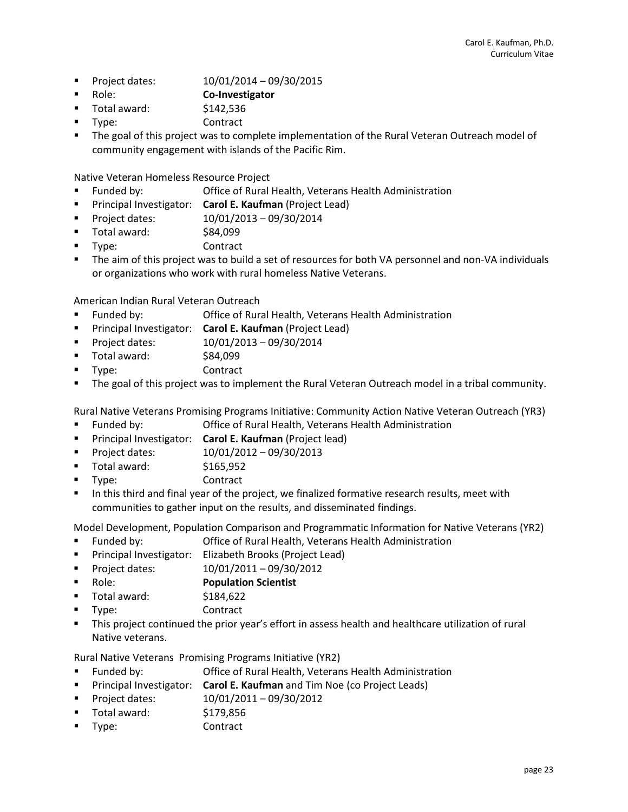- **Project dates:** 10/01/2014 09/30/2015
- Role: **Co-Investigator**
- $\blacksquare$  Total award:  $$142,536$
- Type: Contract
- The goal of this project was to complete implementation of the Rural Veteran Outreach model of community engagement with islands of the Pacific Rim.

Native Veteran Homeless Resource Project

- Funded by: Office of Rural Health, Veterans Health Administration
- **Principal Investigator: Carol E. Kaufman (Project Lead)**
- **Project dates:** 10/01/2013 09/30/2014
- Total award: \$84,099
- Type: Contract
- The aim of this project was to build a set of resources for both VA personnel and non-VA individuals or organizations who work with rural homeless Native Veterans.

American Indian Rural Veteran Outreach

- Funded by: Office of Rural Health, Veterans Health Administration
- **Principal Investigator: Carol E. Kaufman (Project Lead)**
- **Project dates:** 10/01/2013 09/30/2014
- Total award: \$84,099
- Type: Contract
- The goal of this project was to implement the Rural Veteran Outreach model in a tribal community.

Rural Native Veterans Promising Programs Initiative: Community Action Native Veteran Outreach (YR3)

- Funded by: Office of Rural Health, Veterans Health Administration
- Principal Investigator: **Carol E. Kaufman** (Project lead)
- **Project dates:** 10/01/2012 09/30/2013
- $\blacksquare$  Total award:  $$165,952$
- Type: Contract
- In this third and final year of the project, we finalized formative research results, meet with communities to gather input on the results, and disseminated findings.

Model Development, Population Comparison and Programmatic Information for Native Veterans (YR2)

- Funded by: Office of Rural Health, Veterans Health Administration
- **Principal Investigator:** Elizabeth Brooks (Project Lead)
- **Project dates:** 10/01/2011 09/30/2012
- Role: **Population Scientist**
- Total award: \$184,622
- Type: Contract
- This project continued the prior year's effort in assess health and healthcare utilization of rural Native veterans.

Rural Native Veterans Promising Programs Initiative (YR2)

- Funded by: Office of Rural Health, Veterans Health Administration
- **Principal Investigator: Carol E. Kaufman** and Tim Noe (co Project Leads)
- Project dates: 10/01/2011 09/30/2012
- $\blacksquare$  Total award:  $$179,856$
- Type: Contract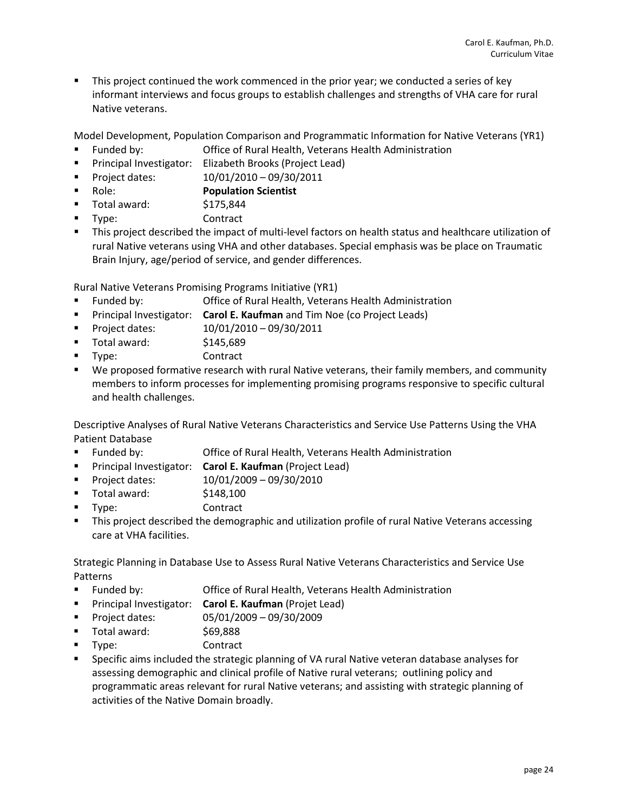This project continued the work commenced in the prior year; we conducted a series of key informant interviews and focus groups to establish challenges and strengths of VHA care for rural Native veterans.

Model Development, Population Comparison and Programmatic Information for Native Veterans (YR1)

- Funded by: Office of Rural Health, Veterans Health Administration
- **Principal Investigator:** Elizabeth Brooks (Project Lead)
- **Project dates:** 10/01/2010 09/30/2011
- Role: **Population Scientist**
- Total award: \$175,844
- Type: Contract
- This project described the impact of multi-level factors on health status and healthcare utilization of rural Native veterans using VHA and other databases. Special emphasis was be place on Traumatic Brain Injury, age/period of service, and gender differences.

Rural Native Veterans Promising Programs Initiative (YR1)

- Funded by: Office of Rural Health, Veterans Health Administration
- **Principal Investigator: Carol E. Kaufman** and Tim Noe (co Project Leads)
- **Project dates:** 10/01/2010 09/30/2011
- $\blacksquare$  Total award:  $$145,689$
- Type: Contract
- We proposed formative research with rural Native veterans, their family members, and community members to inform processes for implementing promising programs responsive to specific cultural and health challenges.

Descriptive Analyses of Rural Native Veterans Characteristics and Service Use Patterns Using the VHA Patient Database

- Funded by: Office of Rural Health, Veterans Health Administration
- **Principal Investigator: Carol E. Kaufman (Project Lead)**
- **Project dates:** 10/01/2009 09/30/2010
- $\blacksquare$  Total award:  $$148,100$
- Type: Contract
- **This project described the demographic and utilization profile of rural Native Veterans accessing** care at VHA facilities.

Strategic Planning in Database Use to Assess Rural Native Veterans Characteristics and Service Use Patterns

- Funded by: Office of Rural Health, Veterans Health Administration
- Principal Investigator: **Carol E. Kaufman** (Projet Lead)
- Project dates: 05/01/2009 09/30/2009
- Total award: \$69,888
- Type: Contract
- **Specific aims included the strategic planning of VA rural Native veteran database analyses for** assessing demographic and clinical profile of Native rural veterans; outlining policy and programmatic areas relevant for rural Native veterans; and assisting with strategic planning of activities of the Native Domain broadly.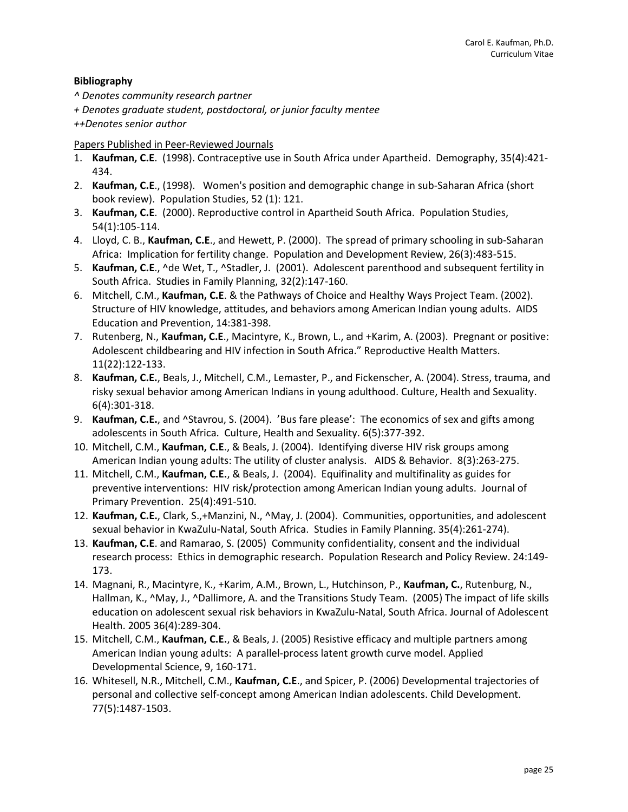# **Bibliography**

*^ Denotes community research partner*

*+ Denotes graduate student, postdoctoral, or junior faculty mentee*

*++Denotes senior author*

# Papers Published in Peer-Reviewed Journals

- 1. **Kaufman, C.E**. (1998). Contraceptive use in South Africa under Apartheid. Demography, 35(4):421- 434.
- 2. **Kaufman, C.E**., (1998). Women's position and demographic change in sub-Saharan Africa (short book review). Population Studies, 52 (1): 121.
- 3. **Kaufman, C.E**. (2000). Reproductive control in Apartheid South Africa. Population Studies, 54(1):105-114.
- 4. Lloyd, C. B., **Kaufman, C.E**., and Hewett, P. (2000). The spread of primary schooling in sub-Saharan Africa: Implication for fertility change. Population and Development Review, 26(3):483-515.
- 5. **Kaufman, C.E**., ^de Wet, T., ^Stadler, J. (2001). Adolescent parenthood and subsequent fertility in South Africa. Studies in Family Planning, 32(2):147-160.
- 6. Mitchell, C.M., **Kaufman, C.E**. & the Pathways of Choice and Healthy Ways Project Team. (2002). Structure of HIV knowledge, attitudes, and behaviors among American Indian young adults. AIDS Education and Prevention, 14:381-398.
- 7. Rutenberg, N., **Kaufman, C.E**., Macintyre, K., Brown, L., and +Karim, A. (2003). Pregnant or positive: Adolescent childbearing and HIV infection in South Africa." Reproductive Health Matters. 11(22):122-133.
- 8. **Kaufman, C.E.**, Beals, J., Mitchell, C.M., Lemaster, P., and Fickenscher, A. (2004). Stress, trauma, and risky sexual behavior among American Indians in young adulthood. Culture, Health and Sexuality. 6(4):301-318.
- 9. **Kaufman, C.E.**, and ^Stavrou, S. (2004). 'Bus fare please': The economics of sex and gifts among adolescents in South Africa. Culture, Health and Sexuality. 6(5):377-392.
- 10. Mitchell, C.M., **Kaufman, C.E**., & Beals, J. (2004). Identifying diverse HIV risk groups among American Indian young adults: The utility of cluster analysis. AIDS & Behavior. 8(3):263-275.
- 11. Mitchell, C.M., **Kaufman, C.E.**, & Beals, J. (2004). Equifinality and multifinality as guides for preventive interventions: HIV risk/protection among American Indian young adults. Journal of Primary Prevention. 25(4):491-510.
- 12. **Kaufman, C.E.**, Clark, S.,+Manzini, N., ^May, J. (2004). Communities, opportunities, and adolescent sexual behavior in KwaZulu-Natal, South Africa. Studies in Family Planning. 35(4):261-274).
- 13. **Kaufman, C.E**. and Ramarao, S. (2005) Community confidentiality, consent and the individual research process: Ethics in demographic research. Population Research and Policy Review. 24:149- 173.
- 14. Magnani, R., Macintyre, K., +Karim, A.M., Brown, L., Hutchinson, P., **Kaufman, C.**, Rutenburg, N., Hallman, K., ^May, J., ^Dallimore, A. and the Transitions Study Team. (2005) The impact of life skills education on adolescent sexual risk behaviors in KwaZulu-Natal, South Africa. Journal of Adolescent Health. 2005 36(4):289-304.
- 15. Mitchell, C.M., **Kaufman, C.E.**, & Beals, J. (2005) Resistive efficacy and multiple partners among American Indian young adults: A parallel-process latent growth curve model. Applied Developmental Science, 9, 160-171.
- 16. Whitesell, N.R., Mitchell, C.M., **Kaufman, C.E**., and Spicer, P. (2006) Developmental trajectories of personal and collective self-concept among American Indian adolescents. Child Development. 77(5):1487-1503.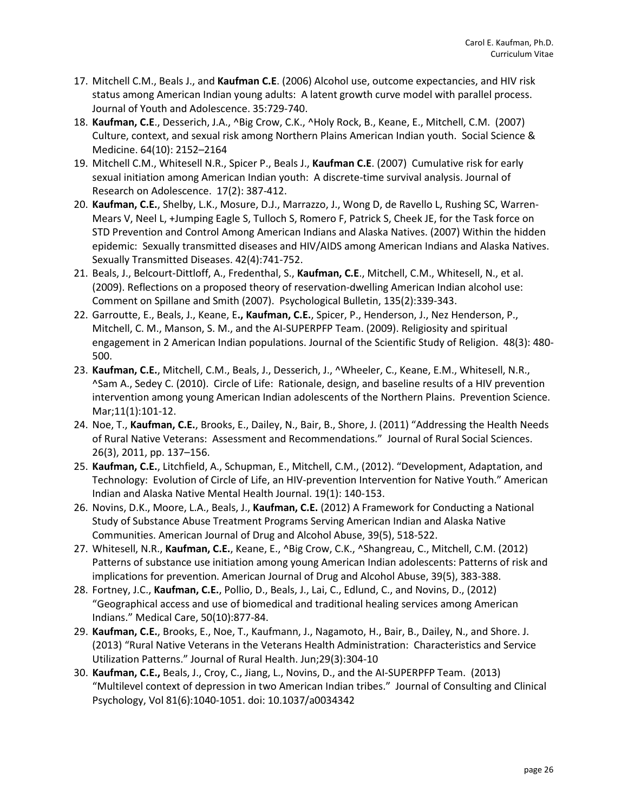- 17. Mitchell C.M., Beals J., and **Kaufman C.E**. (2006) Alcohol use, outcome expectancies, and HIV risk status among American Indian young adults: A latent growth curve model with parallel process. Journal of Youth and Adolescence. 35:729-740.
- 18. **Kaufman, C.E**., Desserich, J.A., ^Big Crow, C.K., ^Holy Rock, B., Keane, E., Mitchell, C.M. (2007) Culture, context, and sexual risk among Northern Plains American Indian youth. Social Science & Medicine. 64(10): 2152–2164
- 19. Mitchell C.M., Whitesell N.R., Spicer P., Beals J., **Kaufman C.E**. (2007) Cumulative risk for early sexual initiation among American Indian youth: A discrete-time survival analysis. Journal of Research on Adolescence. 17(2): 387-412.
- 20. **Kaufman, C.E.**, Shelby, L.K., Mosure, D.J., Marrazzo, J., Wong D, de Ravello L, Rushing SC, Warren-Mears V, Neel L, +Jumping Eagle S, Tulloch S, Romero F, Patrick S, Cheek JE, for the Task force on STD Prevention and Control Among American Indians and Alaska Natives. (2007) Within the hidden epidemic: Sexually transmitted diseases and HIV/AIDS among American Indians and Alaska Natives. Sexually Transmitted Diseases. 42(4):741-752.
- 21. Beals, J., Belcourt-Dittloff, A., Fredenthal, S., **Kaufman, C.E**., Mitchell, C.M., Whitesell, N., et al. (2009). Reflections on a proposed theory of reservation-dwelling American Indian alcohol use: Comment on Spillane and Smith (2007). Psychological Bulletin, 135(2):339-343.
- 22. Garroutte, E., Beals, J., Keane, E**., Kaufman, C.E.**, Spicer, P., Henderson, J., Nez Henderson, P., Mitchell, C. M., Manson, S. M., and the AI-SUPERPFP Team. (2009). Religiosity and spiritual engagement in 2 American Indian populations. Journal of the Scientific Study of Religion. 48(3): 480- 500.
- 23. **Kaufman, C.E.**, Mitchell, C.M., Beals, J., Desserich, J., ^Wheeler, C., Keane, E.M., Whitesell, N.R., ^Sam A., Sedey C. (2010). Circle of Life: Rationale, design, and baseline results of a HIV prevention intervention among young American Indian adolescents of the Northern Plains. Prevention Science. Mar;11(1):101-12.
- 24. Noe, T., **Kaufman, C.E.**, Brooks, E., Dailey, N., Bair, B., Shore, J. (2011) "Addressing the Health Needs of Rural Native Veterans: Assessment and Recommendations." Journal of Rural Social Sciences. 26(3), 2011, pp. 137–156.
- 25. **Kaufman, C.E.**, Litchfield, A., Schupman, E., Mitchell, C.M., (2012). "Development, Adaptation, and Technology: Evolution of Circle of Life, an HIV-prevention Intervention for Native Youth." American Indian and Alaska Native Mental Health Journal. 19(1): 140-153.
- 26. Novins, D.K., Moore, L.A., Beals, J., **Kaufman, C.E.** (2012) A Framework for Conducting a National Study of Substance Abuse Treatment Programs Serving American Indian and Alaska Native Communities. American Journal of Drug and Alcohol Abuse, 39(5), 518-522.
- 27. Whitesell, N.R., **Kaufman, C.E.**, Keane, E., ^Big Crow, C.K., ^Shangreau, C., Mitchell, C.M. (2012) Patterns of substance use initiation among young American Indian adolescents: Patterns of risk and implications for prevention. American Journal of Drug and Alcohol Abuse, 39(5), 383-388.
- 28. Fortney, J.C., **Kaufman, C.E.**, Pollio, D., Beals, J., Lai, C., Edlund, C., and Novins, D., (2012) "Geographical access and use of biomedical and traditional healing services among American Indians." Medical Care, 50(10):877-84.
- 29. **Kaufman, C.E.**, Brooks, E., Noe, T., Kaufmann, J., Nagamoto, H., Bair, B., Dailey, N., and Shore. J. (2013) "Rural Native Veterans in the Veterans Health Administration: Characteristics and Service Utilization Patterns." Journal of Rural Health. Jun;29(3):304-10
- 30. **Kaufman, C.E.,** Beals, J., Croy, C., Jiang, L., Novins, D., and the AI-SUPERPFP Team. (2013) "Multilevel context of depression in two American Indian tribes." Journal of Consulting and Clinical Psychology, Vol 81(6):1040-1051. doi: 10.1037/a0034342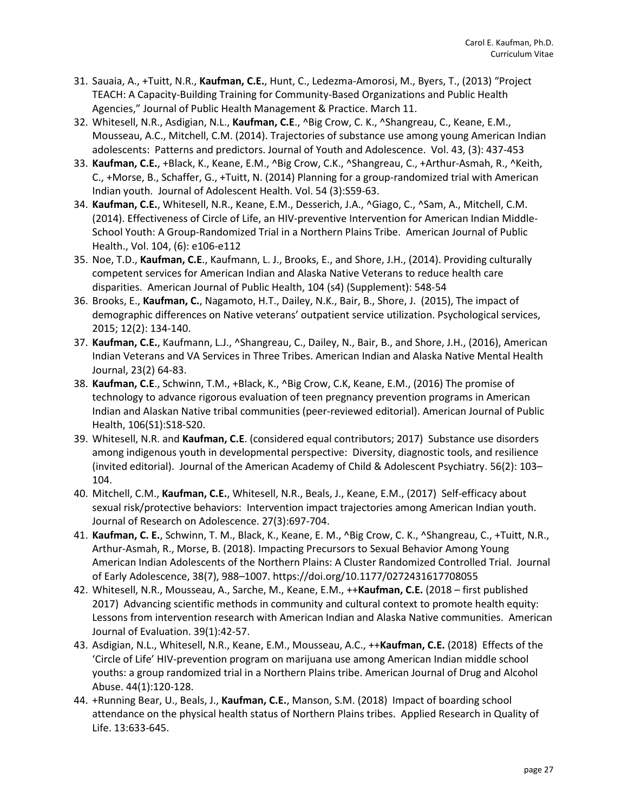- 31. Sauaia, A., +Tuitt, N.R., **Kaufman, C.E.**, Hunt, C., Ledezma-Amorosi, M., Byers, T., (2013) "Project TEACH: A Capacity-Building Training for Community-Based Organizations and Public Health Agencies," Journal of Public Health Management & Practice. March 11.
- 32. Whitesell, N.R., Asdigian, N.L., **Kaufman, C.E**., ^Big Crow, C. K., ^Shangreau, C., Keane, E.M., Mousseau, A.C., Mitchell, C.M. (2014). Trajectories of substance use among young American Indian adolescents: Patterns and predictors. Journal of Youth and Adolescence. Vol. 43, (3): 437-453
- 33. **Kaufman, C.E.**, +Black, K., Keane, E.M., ^Big Crow, C.K., ^Shangreau, C., +Arthur-Asmah, R., ^Keith, C., +Morse, B., Schaffer, G., +Tuitt, N. (2014) Planning for a group-randomized trial with American Indian youth. Journal of Adolescent Health. Vol. 54 (3):S59-63.
- 34. **Kaufman, C.E.**, Whitesell, N.R., Keane, E.M., Desserich, J.A., ^Giago, C., ^Sam, A., Mitchell, C.M. (2014). Effectiveness of Circle of Life, an HIV-preventive Intervention for American Indian Middle-School Youth: A Group-Randomized Trial in a Northern Plains Tribe. American Journal of Public Health., Vol. 104, (6): e106-e112
- 35. Noe, T.D., **Kaufman, C.E**., Kaufmann, L. J., Brooks, E., and Shore, J.H., (2014). Providing culturally competent services for American Indian and Alaska Native Veterans to reduce health care disparities. American Journal of Public Health, 104 (s4) (Supplement): 548-54
- 36. Brooks, E., **Kaufman, C.**, Nagamoto, H.T., Dailey, N.K., Bair, B., Shore, J. (2015), The impact of demographic differences on Native veterans' outpatient service utilization. Psychological services, 2015; 12(2): 134-140.
- 37. **Kaufman, C.E.**, Kaufmann, L.J., ^Shangreau, C., Dailey, N., Bair, B., and Shore, J.H., (2016), American Indian Veterans and VA Services in Three Tribes. American Indian and Alaska Native Mental Health Journal, 23(2) 64-83.
- 38. **Kaufman, C.E**., Schwinn, T.M., +Black, K., ^Big Crow, C.K, Keane, E.M., (2016) The promise of technology to advance rigorous evaluation of teen pregnancy prevention programs in American Indian and Alaskan Native tribal communities (peer-reviewed editorial). American Journal of Public Health, 106(S1):S18-S20.
- 39. Whitesell, N.R. and **Kaufman, C.E**. (considered equal contributors; 2017) Substance use disorders among indigenous youth in developmental perspective: Diversity, diagnostic tools, and resilience (invited editorial). Journal of the American Academy of Child & Adolescent Psychiatry. 56(2): 103– 104.
- 40. Mitchell, C.M., **Kaufman, C.E.**, Whitesell, N.R., Beals, J., Keane, E.M., (2017) Self-efficacy about sexual risk/protective behaviors: Intervention impact trajectories among American Indian youth. Journal of Research on Adolescence. 27(3):697-704.
- 41. **Kaufman, C. E.**, Schwinn, T. M., Black, K., Keane, E. M., ^Big Crow, C. K., ^Shangreau, C., +Tuitt, N.R., Arthur-Asmah, R., Morse, B. (2018). Impacting Precursors to Sexual Behavior Among Young American Indian Adolescents of the Northern Plains: A Cluster Randomized Controlled Trial. Journal of Early Adolescence, 38(7), 988–1007. https://doi.org/10.1177/0272431617708055
- 42. Whitesell, N.R., Mousseau, A., Sarche, M., Keane, E.M., ++**Kaufman, C.E.** (2018 first published 2017) Advancing scientific methods in community and cultural context to promote health equity: Lessons from intervention research with American Indian and Alaska Native communities. American Journal of Evaluation. 39(1):42-57.
- 43. Asdigian, N.L., Whitesell, N.R., Keane, E.M., Mousseau, A.C., ++**Kaufman, C.E.** (2018) Effects of the 'Circle of Life' HIV-prevention program on marijuana use among American Indian middle school youths: a group randomized trial in a Northern Plains tribe. American Journal of Drug and Alcohol Abuse. 44(1):120-128.
- 44. +Running Bear, U., Beals, J., **Kaufman, C.E.**, Manson, S.M. (2018) Impact of boarding school attendance on the physical health status of Northern Plains tribes. Applied Research in Quality of Life. 13:633-645.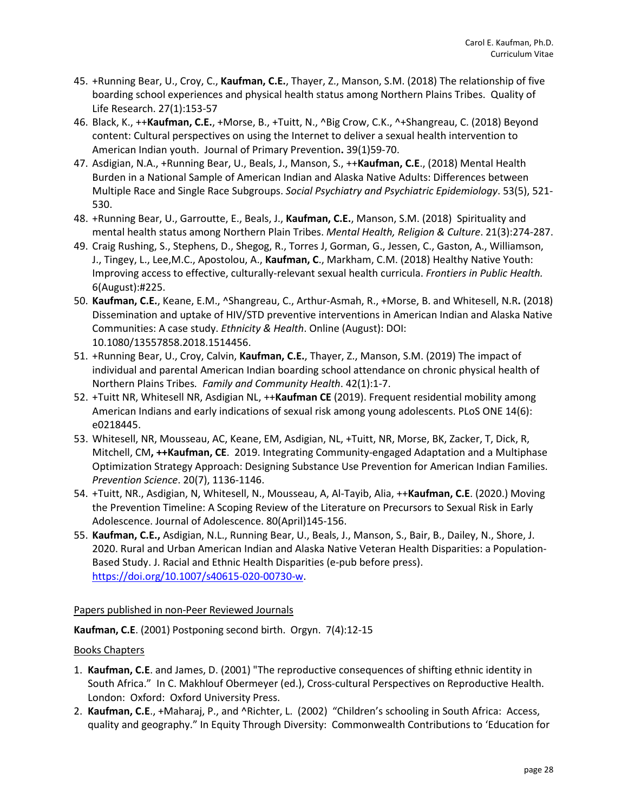- 45. +Running Bear, U., Croy, C., **Kaufman, C.E.**, Thayer, Z., Manson, S.M. (2018) The relationship of five boarding school experiences and physical health status among Northern Plains Tribes. Quality of Life Research. 27(1):153-57
- 46. Black, K., ++**Kaufman, C.E.**, +Morse, B., +Tuitt, N., ^Big Crow, C.K., ^+Shangreau, C. (2018) Beyond content: Cultural perspectives on using the Internet to deliver a sexual health intervention to American Indian youth. Journal of Primary Prevention**.** 39(1)59-70.
- 47. Asdigian, N.A., +Running Bear, U., Beals, J., Manson, S., ++**Kaufman, C.E**., (2018) Mental Health Burden in a National Sample of American Indian and Alaska Native Adults: Differences between Multiple Race and Single Race Subgroups. *Social Psychiatry and Psychiatric Epidemiology*. 53(5), 521- 530.
- 48. +Running Bear, U., Garroutte, E., Beals, J., **Kaufman, C.E.**, Manson, S.M. (2018) Spirituality and mental health status among Northern Plain Tribes. *Mental Health, Religion & Culture*. 21(3):274-287.
- 49. Craig Rushing, S., Stephens, D., Shegog, R., Torres J, Gorman, G., Jessen, C., Gaston, A., Williamson, J., Tingey, L., Lee,M.C., Apostolou, A., **Kaufman, C**., Markham, C.M. (2018) Healthy Native Youth: Improving access to effective, culturally-relevant sexual health curricula. *Frontiers in Public Health.* 6(August):#225.
- 50. **Kaufman, C.E.**, Keane, E.M., ^Shangreau, C., Arthur-Asmah, R., +Morse, B. and Whitesell, N.R**.** (2018) Dissemination and uptake of HIV/STD preventive interventions in American Indian and Alaska Native Communities: A case study. *Ethnicity & Health*. Online (August): DOI: 10.1080/13557858.2018.1514456.
- 51. +Running Bear, U., Croy, Calvin, **Kaufman, C.E.**, Thayer, Z., Manson, S.M. (2019) The impact of individual and parental American Indian boarding school attendance on chronic physical health of Northern Plains Tribes*. Family and Community Health*. 42(1):1-7.
- 52. +Tuitt NR, Whitesell NR, Asdigian NL, ++**Kaufman CE** (2019). Frequent residential mobility among American Indians and early indications of sexual risk among young adolescents. PLoS ONE 14(6): e0218445.
- 53. Whitesell, NR, Mousseau, AC, Keane, EM, Asdigian, NL, +Tuitt, NR, Morse, BK, Zacker, T, Dick, R, Mitchell, CM**, ++Kaufman, CE**. 2019. Integrating Community-engaged Adaptation and a Multiphase Optimization Strategy Approach: Designing Substance Use Prevention for American Indian Families. *Prevention Science*. 20(7), 1136-1146.
- 54. +Tuitt, NR., Asdigian, N, Whitesell, N., Mousseau, A, Al-Tayib, Alia, ++**Kaufman, C.E**. (2020.) Moving the Prevention Timeline: A Scoping Review of the Literature on Precursors to Sexual Risk in Early Adolescence. Journal of Adolescence. 80(April)145-156.
- 55. **Kaufman, C.E.,** Asdigian, N.L., Running Bear, U., Beals, J., Manson, S., Bair, B., Dailey, N., Shore, J. 2020. Rural and Urban American Indian and Alaska Native Veteran Health Disparities: a Population-Based Study. J. Racial and Ethnic Health Disparities (e-pub before press). [https://doi.org/10.1007/s40615-020-00730-w.](https://doi.org/10.1007/s40615-020-00730-w)

Papers published in non-Peer Reviewed Journals

**Kaufman, C.E**. (2001) Postponing second birth. Orgyn. 7(4):12-15

# Books Chapters

- 1. **Kaufman, C.E**. and James, D. (2001) "The reproductive consequences of shifting ethnic identity in South Africa." In C. Makhlouf Obermeyer (ed.), Cross-cultural Perspectives on Reproductive Health. London: Oxford: Oxford University Press.
- 2. **Kaufman, C.E**., +Maharaj, P., and ^Richter, L. (2002) "Children's schooling in South Africa: Access, quality and geography." In Equity Through Diversity: Commonwealth Contributions to 'Education for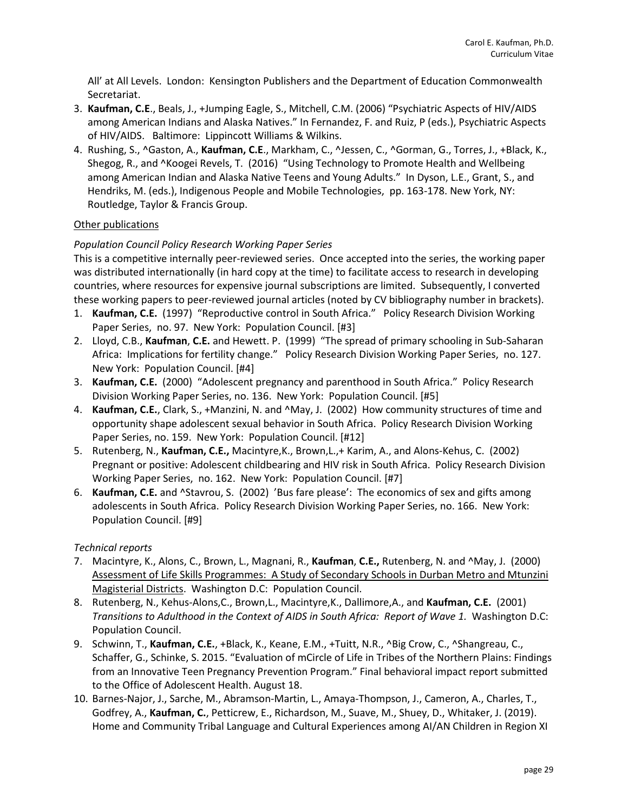All' at All Levels. London: Kensington Publishers and the Department of Education Commonwealth Secretariat.

- 3. **Kaufman, C.E**., Beals, J., +Jumping Eagle, S., Mitchell, C.M. (2006) "Psychiatric Aspects of HIV/AIDS among American Indians and Alaska Natives." In Fernandez, F. and Ruiz, P (eds.), Psychiatric Aspects of HIV/AIDS. Baltimore: Lippincott Williams & Wilkins.
- 4. Rushing, S., ^Gaston, A., **Kaufman, C.E**., Markham, C., ^Jessen, C., ^Gorman, G., Torres, J., +Black, K., Shegog, R., and ^Koogei Revels, T. (2016) "Using Technology to Promote Health and Wellbeing among American Indian and Alaska Native Teens and Young Adults." In Dyson, L.E., Grant, S., and Hendriks, M. (eds.), Indigenous People and Mobile Technologies, pp. 163-178. New York, NY: Routledge, Taylor & Francis Group.

# Other publications

# *Population Council Policy Research Working Paper Series*

This is a competitive internally peer-reviewed series. Once accepted into the series, the working paper was distributed internationally (in hard copy at the time) to facilitate access to research in developing countries, where resources for expensive journal subscriptions are limited. Subsequently, I converted these working papers to peer-reviewed journal articles (noted by CV bibliography number in brackets).

- 1. **Kaufman, C.E.** (1997) "Reproductive control in South Africa." Policy Research Division Working Paper Series, no. 97. New York: Population Council. [#3]
- 2. Lloyd, C.B., **Kaufman**, **C.E.** and Hewett. P. (1999) "The spread of primary schooling in Sub-Saharan Africa: Implications for fertility change." Policy Research Division Working Paper Series, no. 127. New York: Population Council. [#4]
- 3. **Kaufman, C.E.** (2000) "Adolescent pregnancy and parenthood in South Africa." Policy Research Division Working Paper Series, no. 136. New York: Population Council. [#5]
- 4. **Kaufman, C.E.**, Clark, S., +Manzini, N. and ^May, J. (2002) How community structures of time and opportunity shape adolescent sexual behavior in South Africa. Policy Research Division Working Paper Series, no. 159. New York: Population Council. [#12]
- 5. Rutenberg, N., **Kaufman, C.E.,** Macintyre,K., Brown,L.,+ Karim, A., and Alons-Kehus, C. (2002) Pregnant or positive: Adolescent childbearing and HIV risk in South Africa. Policy Research Division Working Paper Series, no. 162. New York: Population Council. [#7]
- 6. **Kaufman, C.E.** and ^Stavrou, S. (2002) 'Bus fare please': The economics of sex and gifts among adolescents in South Africa. Policy Research Division Working Paper Series, no. 166. New York: Population Council. [#9]

#### *Technical reports*

- 7. Macintyre, K., Alons, C., Brown, L., Magnani, R., **Kaufman**, **C.E.,** Rutenberg, N. and ^May, J. (2000) Assessment of Life Skills Programmes: A Study of Secondary Schools in Durban Metro and Mtunzini Magisterial Districts. Washington D.C: Population Council.
- 8. Rutenberg, N., Kehus-Alons,C., Brown,L., Macintyre,K., Dallimore,A., and **Kaufman, C.E.** (2001) *Transitions to Adulthood in the Context of AIDS in South Africa: Report of Wave 1.* Washington D.C: Population Council.
- 9. Schwinn, T., **Kaufman, C.E.**, +Black, K., Keane, E.M., +Tuitt, N.R., ^Big Crow, C., ^Shangreau, C., Schaffer, G., Schinke, S. 2015. "Evaluation of mCircle of Life in Tribes of the Northern Plains: Findings from an Innovative Teen Pregnancy Prevention Program." Final behavioral impact report submitted to the Office of Adolescent Health. August 18.
- 10. Barnes-Najor, J., Sarche, M., Abramson-Martin, L., Amaya-Thompson, J., Cameron, A., Charles, T., Godfrey, A., **Kaufman, C.**, Petticrew, E., Richardson, M., Suave, M., Shuey, D., Whitaker, J. (2019). Home and Community Tribal Language and Cultural Experiences among AI/AN Children in Region XI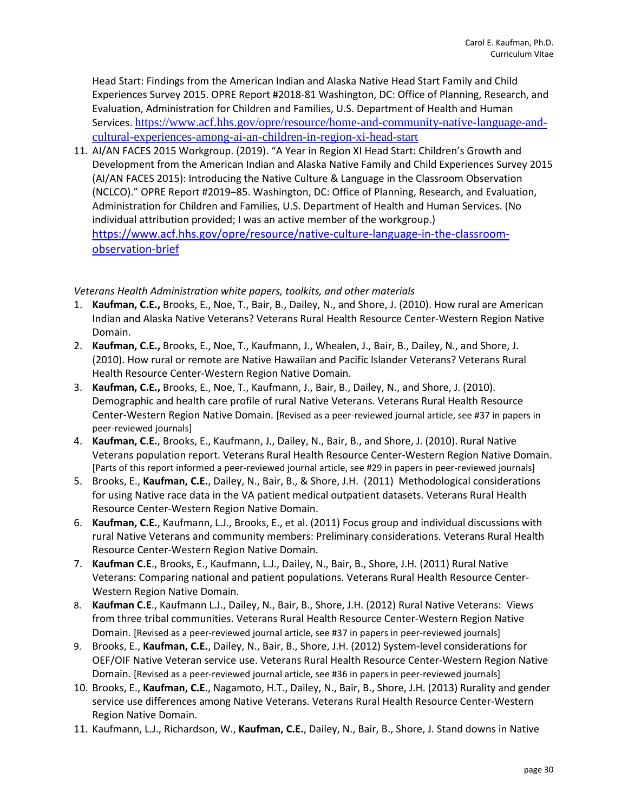Head Start: Findings from the American Indian and Alaska Native Head Start Family and Child Experiences Survey 2015. OPRE Report #2018-81 Washington, DC: Office of Planning, Research, and Evaluation, Administration for Children and Families, U.S. Department of Health and Human Services. [https://www.acf.hhs.gov/opre/resource/home-and-community-native-language-and](https://www.acf.hhs.gov/opre/resource/home-and-community-native-language-and-cultural-experiences-among-ai-an-children-in-region-xi-head-start)[cultural-experiences-among-ai-an-children-in-region-xi-head-start](https://www.acf.hhs.gov/opre/resource/home-and-community-native-language-and-cultural-experiences-among-ai-an-children-in-region-xi-head-start)

11. AI/AN FACES 2015 Workgroup. (2019). "A Year in Region XI Head Start: Children's Growth and Development from the American Indian and Alaska Native Family and Child Experiences Survey 2015 (AI/AN FACES 2015): Introducing the Native Culture & Language in the Classroom Observation (NCLCO)." OPRE Report #2019–85. Washington, DC: Office of Planning, Research, and Evaluation, Administration for Children and Families, U.S. Department of Health and Human Services. (No individual attribution provided; I was an active member of the workgroup.) [https://www.acf.hhs.gov/opre/resource/native-culture-language-in-the-classroom](https://www.acf.hhs.gov/opre/resource/native-culture-language-in-the-classroom-observation-brief)[observation-brief](https://www.acf.hhs.gov/opre/resource/native-culture-language-in-the-classroom-observation-brief)

### *Veterans Health Administration white papers, toolkits, and other materials*

- 1. **Kaufman, C.E.,** Brooks, E., Noe, T., Bair, B., Dailey, N., and Shore, J. (2010). How rural are American Indian and Alaska Native Veterans? Veterans Rural Health Resource Center-Western Region Native Domain.
- 2. **Kaufman, C.E.,** Brooks, E., Noe, T., Kaufmann, J., Whealen, J., Bair, B., Dailey, N., and Shore, J. (2010). How rural or remote are Native Hawaiian and Pacific Islander Veterans? Veterans Rural Health Resource Center-Western Region Native Domain.
- 3. **Kaufman, C.E.,** Brooks, E., Noe, T., Kaufmann, J., Bair, B., Dailey, N., and Shore, J. (2010). Demographic and health care profile of rural Native Veterans. Veterans Rural Health Resource Center-Western Region Native Domain. [Revised as a peer-reviewed journal article, see #37 in papers in peer-reviewed journals]
- 4. **Kaufman, C.E.**, Brooks, E., Kaufmann, J., Dailey, N., Bair, B., and Shore, J. (2010). Rural Native Veterans population report. Veterans Rural Health Resource Center-Western Region Native Domain. [Parts of this report informed a peer-reviewed journal article, see #29 in papers in peer-reviewed journals]
- 5. Brooks, E., **Kaufman, C.E.**, Dailey, N., Bair, B., & Shore, J.H. (2011) Methodological considerations for using Native race data in the VA patient medical outpatient datasets. Veterans Rural Health Resource Center-Western Region Native Domain.
- 6. **Kaufman, C.E.**, Kaufmann, L.J., Brooks, E., et al. (2011) Focus group and individual discussions with rural Native Veterans and community members: Preliminary considerations. Veterans Rural Health Resource Center-Western Region Native Domain.
- 7. **Kaufman C.E**., Brooks, E., Kaufmann, L.J., Dailey, N., Bair, B., Shore, J.H. (2011) Rural Native Veterans: Comparing national and patient populations. Veterans Rural Health Resource Center-Western Region Native Domain.
- 8. **Kaufman C.E**., Kaufmann L.J., Dailey, N., Bair, B., Shore, J.H. (2012) Rural Native Veterans: Views from three tribal communities. Veterans Rural Health Resource Center-Western Region Native Domain. [Revised as a peer-reviewed journal article, see #37 in papers in peer-reviewed journals]
- 9. Brooks, E., **Kaufman, C.E.**, Dailey, N., Bair, B., Shore, J.H. (2012) System-level considerations for OEF/OIF Native Veteran service use. Veterans Rural Health Resource Center-Western Region Native Domain. [Revised as a peer-reviewed journal article, see #36 in papers in peer-reviewed journals]
- 10. Brooks, E., **Kaufman, C.E**., Nagamoto, H.T., Dailey, N., Bair, B., Shore, J.H. (2013) Rurality and gender service use differences among Native Veterans. Veterans Rural Health Resource Center-Western Region Native Domain.
- 11. Kaufmann, L.J., Richardson, W., **Kaufman, C.E.**, Dailey, N., Bair, B., Shore, J. Stand downs in Native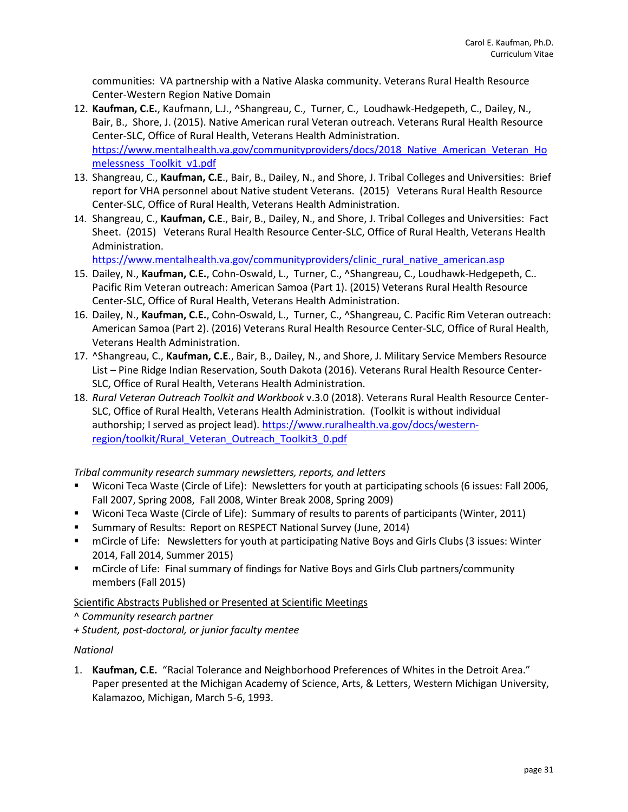communities: VA partnership with a Native Alaska community. Veterans Rural Health Resource Center-Western Region Native Domain

- 12. **Kaufman, C.E.**, Kaufmann, L.J., ^Shangreau, C., Turner, C., Loudhawk-Hedgepeth, C., Dailey, N., Bair, B., Shore, J. (2015). Native American rural Veteran outreach. Veterans Rural Health Resource Center-SLC, Office of Rural Health, Veterans Health Administration. [https://www.mentalhealth.va.gov/communityproviders/docs/2018\\_Native\\_American\\_Veteran\\_Ho](https://www.mentalhealth.va.gov/communityproviders/docs/2018_Native_American_Veteran_Homelessness_Toolkit_v1.pdf) [melessness\\_Toolkit\\_v1.pdf](https://www.mentalhealth.va.gov/communityproviders/docs/2018_Native_American_Veteran_Homelessness_Toolkit_v1.pdf)
- 13. Shangreau, C., **Kaufman, C.E**., Bair, B., Dailey, N., and Shore, J. Tribal Colleges and Universities: Brief report for VHA personnel about Native student Veterans. (2015) Veterans Rural Health Resource Center-SLC, Office of Rural Health, Veterans Health Administration.
- 14. Shangreau, C., **Kaufman, C.E**., Bair, B., Dailey, N., and Shore, J. Tribal Colleges and Universities: Fact Sheet. (2015) Veterans Rural Health Resource Center-SLC, Office of Rural Health, Veterans Health Administration.

[https://www.mentalhealth.va.gov/communityproviders/clinic\\_rural\\_native\\_american.asp](https://www.mentalhealth.va.gov/communityproviders/clinic_rural_native_american.asp)

- 15. Dailey, N., **Kaufman, C.E.**, Cohn-Oswald, L., Turner, C., ^Shangreau, C., Loudhawk-Hedgepeth, C.. Pacific Rim Veteran outreach: American Samoa (Part 1). (2015) Veterans Rural Health Resource Center-SLC, Office of Rural Health, Veterans Health Administration.
- 16. Dailey, N., **Kaufman, C.E.**, Cohn-Oswald, L., Turner, C., ^Shangreau, C. Pacific Rim Veteran outreach: American Samoa (Part 2). (2016) Veterans Rural Health Resource Center-SLC, Office of Rural Health, Veterans Health Administration.
- 17. ^Shangreau, C., **Kaufman, C.E**., Bair, B., Dailey, N., and Shore, J. Military Service Members Resource List – Pine Ridge Indian Reservation, South Dakota (2016). Veterans Rural Health Resource Center-SLC, Office of Rural Health, Veterans Health Administration.
- 18. *Rural Veteran Outreach Toolkit and Workbook* v.3.0 (2018). Veterans Rural Health Resource Center-SLC, Office of Rural Health, Veterans Health Administration. (Toolkit is without individual authorship; I served as project lead)[. https://www.ruralhealth.va.gov/docs/western](https://www.ruralhealth.va.gov/docs/western-region/toolkit/Rural_Veteran_Outreach_Toolkit3_0.pdf)[region/toolkit/Rural\\_Veteran\\_Outreach\\_Toolkit3\\_0.pdf](https://www.ruralhealth.va.gov/docs/western-region/toolkit/Rural_Veteran_Outreach_Toolkit3_0.pdf)

*Tribal community research summary newsletters, reports, and letters*

- Wiconi Teca Waste (Circle of Life): Newsletters for youth at participating schools (6 issues: Fall 2006, Fall 2007, Spring 2008, Fall 2008, Winter Break 2008, Spring 2009)
- Wiconi Teca Waste (Circle of Life): Summary of results to parents of participants (Winter, 2011)
- **E** Summary of Results: Report on RESPECT National Survey (June, 2014)
- mCircle of Life: Newsletters for youth at participating Native Boys and Girls Clubs (3 issues: Winter 2014, Fall 2014, Summer 2015)
- mCircle of Life: Final summary of findings for Native Boys and Girls Club partners/community members (Fall 2015)

Scientific Abstracts Published or Presented at Scientific Meetings

^ *Community research partner*

*+ Student, post-doctoral, or junior faculty mentee*

# *National*

1. **Kaufman, C.E.** "Racial Tolerance and Neighborhood Preferences of Whites in the Detroit Area." Paper presented at the Michigan Academy of Science, Arts, & Letters, Western Michigan University, Kalamazoo, Michigan, March 5-6, 1993.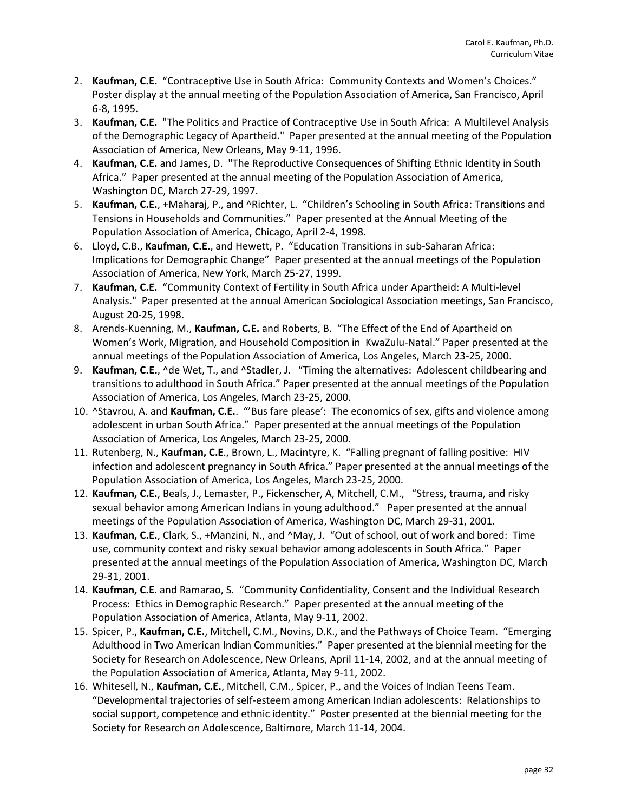- 2. **Kaufman, C.E.** "Contraceptive Use in South Africa: Community Contexts and Women's Choices." Poster display at the annual meeting of the Population Association of America, San Francisco, April 6-8, 1995.
- 3. **Kaufman, C.E.** "The Politics and Practice of Contraceptive Use in South Africa: A Multilevel Analysis of the Demographic Legacy of Apartheid." Paper presented at the annual meeting of the Population Association of America, New Orleans, May 9-11, 1996.
- 4. **Kaufman, C.E.** and James, D. "The Reproductive Consequences of Shifting Ethnic Identity in South Africa." Paper presented at the annual meeting of the Population Association of America, Washington DC, March 27-29, 1997.
- 5. **Kaufman, C.E.**, +Maharaj, P., and ^Richter, L. "Children's Schooling in South Africa: Transitions and Tensions in Households and Communities." Paper presented at the Annual Meeting of the Population Association of America, Chicago, April 2-4, 1998.
- 6. Lloyd, C.B., **Kaufman, C.E.**, and Hewett, P. "Education Transitions in sub-Saharan Africa: Implications for Demographic Change" Paper presented at the annual meetings of the Population Association of America, New York, March 25-27, 1999.
- 7. **Kaufman, C.E.** "Community Context of Fertility in South Africa under Apartheid: A Multi-level Analysis." Paper presented at the annual American Sociological Association meetings, San Francisco, August 20-25, 1998.
- 8. Arends-Kuenning, M., **Kaufman, C.E.** and Roberts, B. "The Effect of the End of Apartheid on Women's Work, Migration, and Household Composition in KwaZulu-Natal." Paper presented at the annual meetings of the Population Association of America, Los Angeles, March 23-25, 2000.
- 9. **Kaufman, C.E.**, ^de Wet, T., and ^Stadler, J. "Timing the alternatives: Adolescent childbearing and transitions to adulthood in South Africa." Paper presented at the annual meetings of the Population Association of America, Los Angeles, March 23-25, 2000.
- 10. ^Stavrou, A. and **Kaufman, C.E.**. "'Bus fare please': The economics of sex, gifts and violence among adolescent in urban South Africa." Paper presented at the annual meetings of the Population Association of America, Los Angeles, March 23-25, 2000.
- 11. Rutenberg, N., **Kaufman, C.E**., Brown, L., Macintyre, K. "Falling pregnant of falling positive: HIV infection and adolescent pregnancy in South Africa." Paper presented at the annual meetings of the Population Association of America, Los Angeles, March 23-25, 2000.
- 12. **Kaufman, C.E.**, Beals, J., Lemaster, P., Fickenscher, A, Mitchell, C.M., "Stress, trauma, and risky sexual behavior among American Indians in young adulthood." Paper presented at the annual meetings of the Population Association of America, Washington DC, March 29-31, 2001.
- 13. **Kaufman, C.E.**, Clark, S., +Manzini, N., and ^May, J. "Out of school, out of work and bored: Time use, community context and risky sexual behavior among adolescents in South Africa." Paper presented at the annual meetings of the Population Association of America, Washington DC, March 29-31, 2001.
- 14. **Kaufman, C.E**. and Ramarao, S. "Community Confidentiality, Consent and the Individual Research Process: Ethics in Demographic Research." Paper presented at the annual meeting of the Population Association of America, Atlanta, May 9-11, 2002.
- 15. Spicer, P., **Kaufman, C.E.**, Mitchell, C.M., Novins, D.K., and the Pathways of Choice Team. "Emerging Adulthood in Two American Indian Communities." Paper presented at the biennial meeting for the Society for Research on Adolescence, New Orleans, April 11-14, 2002, and at the annual meeting of the Population Association of America, Atlanta, May 9-11, 2002.
- 16. Whitesell, N., **Kaufman, C.E.**, Mitchell, C.M., Spicer, P., and the Voices of Indian Teens Team. "Developmental trajectories of self-esteem among American Indian adolescents: Relationships to social support, competence and ethnic identity." Poster presented at the biennial meeting for the Society for Research on Adolescence, Baltimore, March 11-14, 2004.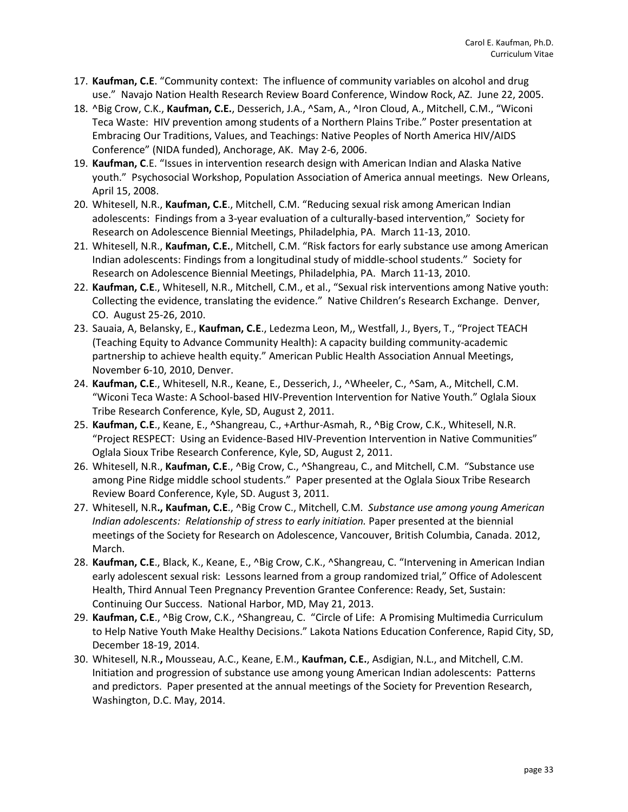- 17. **Kaufman, C.E**. "Community context: The influence of community variables on alcohol and drug use." Navajo Nation Health Research Review Board Conference, Window Rock, AZ. June 22, 2005.
- 18. ^Big Crow, C.K., **Kaufman, C.E.**, Desserich, J.A., ^Sam, A., ^Iron Cloud, A., Mitchell, C.M., "Wiconi Teca Waste: HIV prevention among students of a Northern Plains Tribe." Poster presentation at Embracing Our Traditions, Values, and Teachings: Native Peoples of North America HIV/AIDS Conference" (NIDA funded), Anchorage, AK. May 2-6, 2006.
- 19. **Kaufman, C**.E. "Issues in intervention research design with American Indian and Alaska Native youth." Psychosocial Workshop, Population Association of America annual meetings. New Orleans, April 15, 2008.
- 20. Whitesell, N.R., **Kaufman, C.E**., Mitchell, C.M. "Reducing sexual risk among American Indian adolescents: Findings from a 3-year evaluation of a culturally-based intervention," Society for Research on Adolescence Biennial Meetings, Philadelphia, PA. March 11-13, 2010.
- 21. Whitesell, N.R., **Kaufman, C.E.**, Mitchell, C.M. "Risk factors for early substance use among American Indian adolescents: Findings from a longitudinal study of middle-school students." Society for Research on Adolescence Biennial Meetings, Philadelphia, PA. March 11-13, 2010.
- 22. **Kaufman, C.E**., Whitesell, N.R., Mitchell, C.M., et al., "Sexual risk interventions among Native youth: Collecting the evidence, translating the evidence." Native Children's Research Exchange. Denver, CO. August 25-26, 2010.
- 23. Sauaia, A, Belansky, E., **Kaufman, C.E**., Ledezma Leon, M,, Westfall, J., Byers, T., "Project TEACH (Teaching Equity to Advance Community Health): A capacity building community-academic partnership to achieve health equity." American Public Health Association Annual Meetings, November 6-10, 2010, Denver.
- 24. **Kaufman, C.E**., Whitesell, N.R., Keane, E., Desserich, J., ^Wheeler, C., ^Sam, A., Mitchell, C.M. "Wiconi Teca Waste: A School-based HIV-Prevention Intervention for Native Youth." Oglala Sioux Tribe Research Conference, Kyle, SD, August 2, 2011.
- 25. **Kaufman, C.E**., Keane, E., ^Shangreau, C., +Arthur-Asmah, R., ^Big Crow, C.K., Whitesell, N.R. "Project RESPECT: Using an Evidence-Based HIV-Prevention Intervention in Native Communities" Oglala Sioux Tribe Research Conference, Kyle, SD, August 2, 2011.
- 26. Whitesell, N.R., **Kaufman, C.E**., ^Big Crow, C., ^Shangreau, C., and Mitchell, C.M. "Substance use among Pine Ridge middle school students." Paper presented at the Oglala Sioux Tribe Research Review Board Conference, Kyle, SD. August 3, 2011.
- 27. Whitesell, N.R**., Kaufman, C.E**., ^Big Crow C., Mitchell, C.M. *Substance use among young American Indian adolescents: Relationship of stress to early initiation.* Paper presented at the biennial meetings of the Society for Research on Adolescence, Vancouver, British Columbia, Canada. 2012, March.
- 28. **Kaufman, C.E**., Black, K., Keane, E., ^Big Crow, C.K., ^Shangreau, C. "Intervening in American Indian early adolescent sexual risk: Lessons learned from a group randomized trial," Office of Adolescent Health, Third Annual Teen Pregnancy Prevention Grantee Conference: Ready, Set, Sustain: Continuing Our Success. National Harbor, MD, May 21, 2013.
- 29. **Kaufman, C.E**., ^Big Crow, C.K., ^Shangreau, C. "Circle of Life: A Promising Multimedia Curriculum to Help Native Youth Make Healthy Decisions." Lakota Nations Education Conference, Rapid City, SD, December 18-19, 2014.
- 30. Whitesell, N.R.**,** Mousseau, A.C., Keane, E.M., **Kaufman, C.E.**, Asdigian, N.L., and Mitchell, C.M. Initiation and progression of substance use among young American Indian adolescents: Patterns and predictors. Paper presented at the annual meetings of the Society for Prevention Research, Washington, D.C. May, 2014.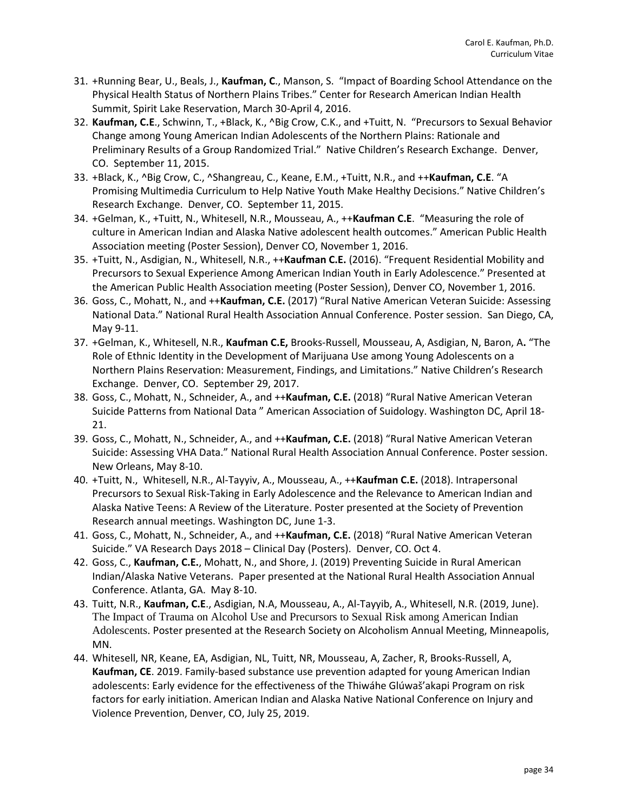- 31. +Running Bear, U., Beals, J., **Kaufman, C**., Manson, S. "Impact of Boarding School Attendance on the Physical Health Status of Northern Plains Tribes." Center for Research American Indian Health Summit, Spirit Lake Reservation, March 30-April 4, 2016.
- 32. **Kaufman, C.E**., Schwinn, T., +Black, K., ^Big Crow, C.K., and +Tuitt, N. "Precursors to Sexual Behavior Change among Young American Indian Adolescents of the Northern Plains: Rationale and Preliminary Results of a Group Randomized Trial." Native Children's Research Exchange. Denver, CO. September 11, 2015.
- 33. +Black, K., ^Big Crow, C., ^Shangreau, C., Keane, E.M., +Tuitt, N.R., and ++**Kaufman, C.E**. "A Promising Multimedia Curriculum to Help Native Youth Make Healthy Decisions." Native Children's Research Exchange. Denver, CO. September 11, 2015.
- 34. +Gelman, K., +Tuitt, N., Whitesell, N.R., Mousseau, A., ++**Kaufman C.E**. "Measuring the role of culture in American Indian and Alaska Native adolescent health outcomes." American Public Health Association meeting (Poster Session), Denver CO, November 1, 2016.
- 35. +Tuitt, N., Asdigian, N., Whitesell, N.R., ++**Kaufman C.E.** (2016). "Frequent Residential Mobility and Precursors to Sexual Experience Among American Indian Youth in Early Adolescence." Presented at the American Public Health Association meeting (Poster Session), Denver CO, November 1, 2016.
- 36. Goss, C., Mohatt, N., and ++**Kaufman, C.E.** (2017) "Rural Native American Veteran Suicide: Assessing National Data." National Rural Health Association Annual Conference. Poster session. San Diego, CA, May 9-11.
- 37. +Gelman, K., Whitesell, N.R., **Kaufman C.E,** Brooks-Russell, Mousseau, A, Asdigian, N, Baron, A**.** "The Role of Ethnic Identity in the Development of Marijuana Use among Young Adolescents on a Northern Plains Reservation: Measurement, Findings, and Limitations." Native Children's Research Exchange. Denver, CO. September 29, 2017.
- 38. Goss, C., Mohatt, N., Schneider, A., and ++**Kaufman, C.E.** (2018) "Rural Native American Veteran Suicide Patterns from National Data " American Association of Suidology. Washington DC, April 18- 21.
- 39. Goss, C., Mohatt, N., Schneider, A., and ++**Kaufman, C.E.** (2018) "Rural Native American Veteran Suicide: Assessing VHA Data." National Rural Health Association Annual Conference. Poster session. New Orleans, May 8-10.
- 40. +Tuitt, N., Whitesell, N.R., Al-Tayyiv, A., Mousseau, A., ++**Kaufman C.E.** (2018). Intrapersonal Precursors to Sexual Risk-Taking in Early Adolescence and the Relevance to American Indian and Alaska Native Teens: A Review of the Literature. Poster presented at the Society of Prevention Research annual meetings. Washington DC, June 1-3.
- 41. Goss, C., Mohatt, N., Schneider, A., and ++**Kaufman, C.E.** (2018) "Rural Native American Veteran Suicide." VA Research Days 2018 – Clinical Day (Posters). Denver, CO. Oct 4.
- 42. Goss, C., **Kaufman, C.E.**, Mohatt, N., and Shore, J. (2019) Preventing Suicide in Rural American Indian/Alaska Native Veterans. Paper presented at the National Rural Health Association Annual Conference. Atlanta, GA. May 8-10.
- 43. Tuitt, N.R., **Kaufman, C.E**., Asdigian, N.A, Mousseau, A., Al-Tayyib, A., Whitesell, N.R. (2019, June). The Impact of Trauma on Alcohol Use and Precursors to Sexual Risk among American Indian Adolescents. Poster presented at the Research Society on Alcoholism Annual Meeting, Minneapolis, MN.
- 44. Whitesell, NR, Keane, EA, Asdigian, NL, Tuitt, NR, Mousseau, A, Zacher, R, Brooks-Russell, A, **Kaufman, CE**. 2019. Family-based substance use prevention adapted for young American Indian adolescents: Early evidence for the effectiveness of the Thiwáhe Glúwaš'akapi Program on risk factors for early initiation. American Indian and Alaska Native National Conference on Injury and Violence Prevention, Denver, CO, July 25, 2019.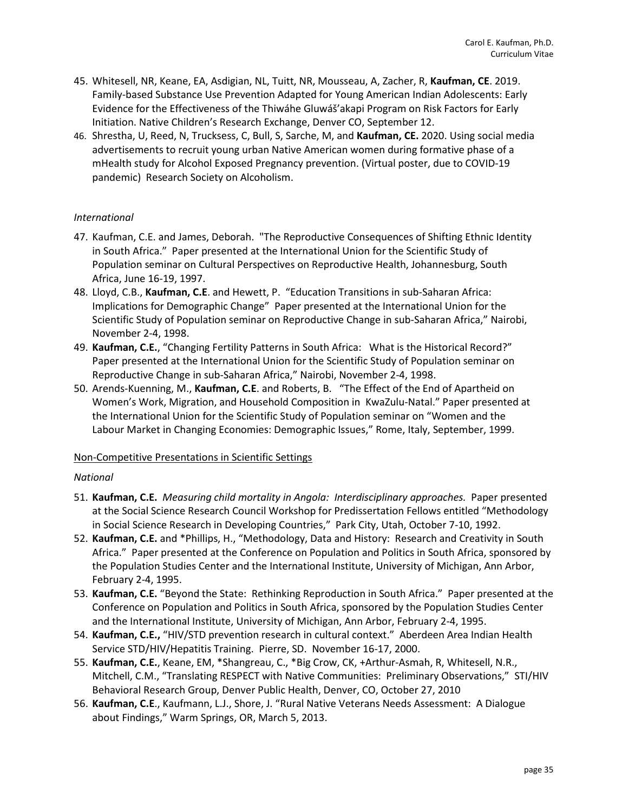- 45. Whitesell, NR, Keane, EA, Asdigian, NL, Tuitt, NR, Mousseau, A, Zacher, R, **Kaufman, CE**. 2019. Family-based Substance Use Prevention Adapted for Young American Indian Adolescents: Early Evidence for the Effectiveness of the Thiwáhe Gluwáš'akapi Program on Risk Factors for Early Initiation. Native Children's Research Exchange, Denver CO, September 12.
- 46. Shrestha, U, Reed, N, Trucksess, C, Bull, S, Sarche, M, and **Kaufman, CE.** 2020. Using social media advertisements to recruit young urban Native American women during formative phase of a mHealth study for Alcohol Exposed Pregnancy prevention. (Virtual poster, due to COVID-19 pandemic) Research Society on Alcoholism.

# *International*

- 47. Kaufman, C.E. and James, Deborah. "The Reproductive Consequences of Shifting Ethnic Identity in South Africa." Paper presented at the International Union for the Scientific Study of Population seminar on Cultural Perspectives on Reproductive Health, Johannesburg, South Africa, June 16-19, 1997.
- 48. Lloyd, C.B., **Kaufman, C.E**. and Hewett, P. "Education Transitions in sub-Saharan Africa: Implications for Demographic Change" Paper presented at the International Union for the Scientific Study of Population seminar on Reproductive Change in sub-Saharan Africa," Nairobi, November 2-4, 1998.
- 49. **Kaufman, C.E.**, "Changing Fertility Patterns in South Africa: What is the Historical Record?" Paper presented at the International Union for the Scientific Study of Population seminar on Reproductive Change in sub-Saharan Africa," Nairobi, November 2-4, 1998.
- 50. Arends-Kuenning, M., **Kaufman, C.E**. and Roberts, B. "The Effect of the End of Apartheid on Women's Work, Migration, and Household Composition in KwaZulu-Natal." Paper presented at the International Union for the Scientific Study of Population seminar on "Women and the Labour Market in Changing Economies: Demographic Issues," Rome, Italy, September, 1999.

#### Non-Competitive Presentations in Scientific Settings

#### *National*

- 51. **Kaufman, C.E.** *Measuring child mortality in Angola: Interdisciplinary approaches.* Paper presented at the Social Science Research Council Workshop for Predissertation Fellows entitled "Methodology in Social Science Research in Developing Countries," Park City, Utah, October 7-10, 1992.
- 52. **Kaufman, C.E.** and \*Phillips, H., "Methodology, Data and History: Research and Creativity in South Africa." Paper presented at the Conference on Population and Politics in South Africa, sponsored by the Population Studies Center and the International Institute, University of Michigan, Ann Arbor, February 2-4, 1995.
- 53. **Kaufman, C.E.** "Beyond the State: Rethinking Reproduction in South Africa." Paper presented at the Conference on Population and Politics in South Africa, sponsored by the Population Studies Center and the International Institute, University of Michigan, Ann Arbor, February 2-4, 1995.
- 54. **Kaufman, C.E.,** "HIV/STD prevention research in cultural context." Aberdeen Area Indian Health Service STD/HIV/Hepatitis Training. Pierre, SD. November 16-17, 2000.
- 55. **Kaufman, C.E.**, Keane, EM, \*Shangreau, C., \*Big Crow, CK, +Arthur-Asmah, R, Whitesell, N.R., Mitchell, C.M., "Translating RESPECT with Native Communities: Preliminary Observations," STI/HIV Behavioral Research Group, Denver Public Health, Denver, CO, October 27, 2010
- 56. **Kaufman, C.E**., Kaufmann, L.J., Shore, J. "Rural Native Veterans Needs Assessment: A Dialogue about Findings," Warm Springs, OR, March 5, 2013.